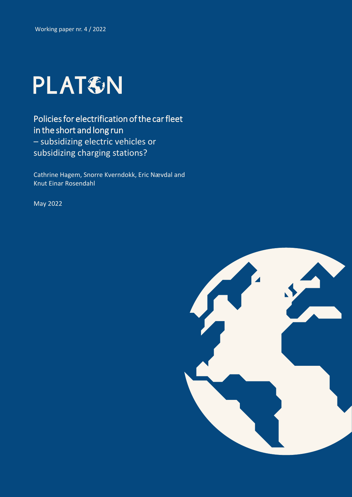

Policies for electrification of the car fleet in the short and long run – subsidizing electric vehicles or subsidizing charging stations?

Cathrine Hagem, Snorre Kverndokk, Eric Nævdal and Knut Einar Rosendahl

May 2022

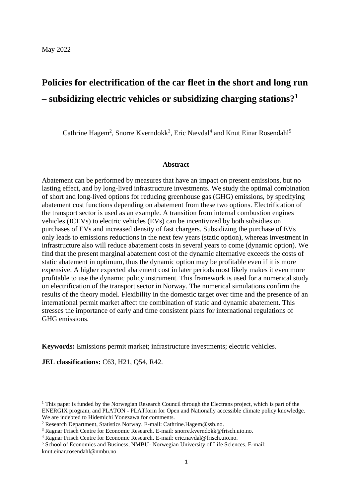# **Policies for electrification of the car fleet in the short and long run – subsidizing electric vehicles or subsidizing charging stations?<sup>1</sup>**

Cathrine Hagem<sup>2</sup>, Snorre Kverndokk<sup>3</sup>, Eric Nævdal<sup>4</sup> and Knut Einar Rosendahl<sup>5</sup>

#### **Abstract**

Abatement can be performed by measures that have an impact on present emissions, but no lasting effect, and by long-lived infrastructure investments. We study the optimal combination of short and long-lived options for reducing greenhouse gas (GHG) emissions, by specifying abatement cost functions depending on abatement from these two options. Electrification of the transport sector is used as an example. A transition from internal combustion engines vehicles (ICEVs) to electric vehicles (EVs) can be incentivized by both subsidies on purchases of EVs and increased density of fast chargers. Subsidizing the purchase of EVs only leads to emissions reductions in the next few years (static option), whereas investment in infrastructure also will reduce abatement costs in several years to come (dynamic option). We find that the present marginal abatement cost of the dynamic alternative exceeds the costs of static abatement in optimum, thus the dynamic option may be profitable even if it is more expensive. A higher expected abatement cost in later periods most likely makes it even more profitable to use the dynamic policy instrument. This framework is used for a numerical study on electrification of the transport sector in Norway. The numerical simulations confirm the results of the theory model. Flexibility in the domestic target over time and the presence of an international permit market affect the combination of static and dynamic abatement. This stresses the importance of early and time consistent plans for international regulations of GHG emissions.

**Keywords:** Emissions permit market; infrastructure investments; electric vehicles.

**JEL classifications:** C63, H21, Q54, R42.

 $1$  This paper is funded by the Norwegian Research Council through the Electrans project, which is part of the ENERGIX program, and PLATON - PLATform for Open and Nationally accessible climate policy knowledge. We are indebted to Hidemichi Yonezawa for comments.

<sup>2</sup> Research Department, Statistics Norway. E-mail: Cathrine.Hagem@ssb.no.

<sup>3</sup> Ragnar Frisch Centre for Economic Research. E-mail: snorre.kverndokk@frisch.uio.no.

<sup>4</sup> Ragnar Frisch Centre for Economic Research. E-mail: eric.navdal@frisch.uio.no.

<sup>5</sup> School of Economics and Business, NMBU- Norwegian University of Life Sciences. E-mail: knut.einar.rosendahl@nmbu.no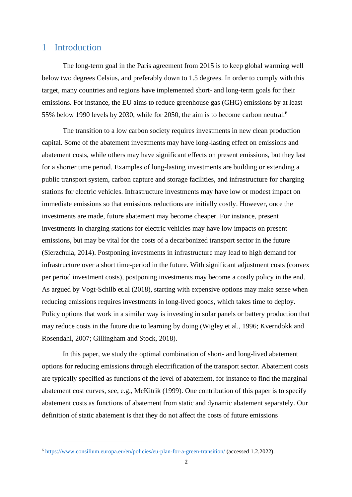### 1 Introduction

The long-term goal in the Paris agreement from 2015 is to keep global warming well below two degrees Celsius, and preferably down to 1.5 degrees. In order to comply with this target, many countries and regions have implemented short- and long-term goals for their emissions. For instance, the EU aims to reduce greenhouse gas (GHG) emissions by at least 55% below 1990 levels by 2030, while for 2050, the aim is to become carbon neutral.<sup>6</sup>

The transition to a low carbon society requires investments in new clean production capital. Some of the abatement investments may have long-lasting effect on emissions and abatement costs, while others may have significant effects on present emissions, but they last for a shorter time period. Examples of long-lasting investments are building or extending a public transport system, carbon capture and storage facilities, and infrastructure for charging stations for electric vehicles. Infrastructure investments may have low or modest impact on immediate emissions so that emissions reductions are initially costly. However, once the investments are made, future abatement may become cheaper. For instance, present investments in charging stations for electric vehicles may have low impacts on present emissions, but may be vital for the costs of a decarbonized transport sector in the future (Sierzchula, 2014). Postponing investments in infrastructure may lead to high demand for infrastructure over a short time-period in the future. With significant adjustment costs (convex per period investment costs), postponing investments may become a costly policy in the end. As argued by Vogt-Schilb et.al (2018), starting with expensive options may make sense when reducing emissions requires investments in long-lived goods, which takes time to deploy. Policy options that work in a similar way is investing in solar panels or battery production that may reduce costs in the future due to learning by doing (Wigley et al., 1996; Kverndokk and Rosendahl, 2007; Gillingham and Stock, 2018).

In this paper, we study the optimal combination of short- and long-lived abatement options for reducing emissions through electrification of the transport sector. Abatement costs are typically specified as functions of the level of abatement, for instance to find the marginal abatement cost curves, see, e.g., McKitrik (1999). One contribution of this paper is to specify abatement costs as functions of abatement from static and dynamic abatement separately. Our definition of static abatement is that they do not affect the costs of future emissions

<sup>6</sup> <https://www.consilium.europa.eu/en/policies/eu-plan-for-a-green-transition/> (accessed 1.2.2022).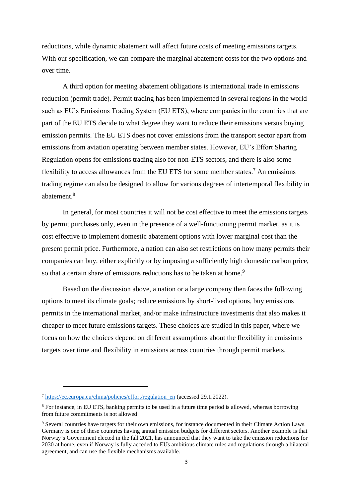reductions, while dynamic abatement will affect future costs of meeting emissions targets. With our specification, we can compare the marginal abatement costs for the two options and over time.

A third option for meeting abatement obligations is international trade in emissions reduction (permit trade). Permit trading has been implemented in several regions in the world such as EU's Emissions Trading System (EU ETS), where companies in the countries that are part of the EU ETS decide to what degree they want to reduce their emissions versus buying emission permits. The EU ETS does not cover emissions from the transport sector apart from emissions from aviation operating between member states. However, EU's Effort Sharing Regulation opens for emissions trading also for non-ETS sectors, and there is also some flexibility to access allowances from the EU ETS for some member states.<sup>7</sup> An emissions trading regime can also be designed to allow for various degrees of intertemporal flexibility in abatement.<sup>8</sup>

In general, for most countries it will not be cost effective to meet the emissions targets by permit purchases only, even in the presence of a well-functioning permit market, as it is cost effective to implement domestic abatement options with lower marginal cost than the present permit price. Furthermore, a nation can also set restrictions on how many permits their companies can buy, either explicitly or by imposing a sufficiently high domestic carbon price, so that a certain share of emissions reductions has to be taken at home.<sup>9</sup>

Based on the discussion above, a nation or a large company then faces the following options to meet its climate goals; reduce emissions by short-lived options, buy emissions permits in the international market, and/or make infrastructure investments that also makes it cheaper to meet future emissions targets. These choices are studied in this paper, where we focus on how the choices depend on different assumptions about the flexibility in emissions targets over time and flexibility in emissions across countries through permit markets.

<sup>7</sup> [https://ec.europa.eu/clima/policies/effort/regulation\\_en](https://ec.europa.eu/clima/policies/effort/regulation_en) (accessed 29.1.2022).

<sup>&</sup>lt;sup>8</sup> For instance, in EU ETS, banking permits to be used in a future time period is allowed, whereas borrowing from future commitments is not allowed.

<sup>9</sup> Several countries have targets for their own emissions, for instance documented in their Climate Action Laws. Germany is one of these countries having annual emission budgets for different sectors. Another example is that Norway's Government elected in the fall 2021, has announced that they want to take the emission reductions for 2030 at home, even if Norway is fully acceded to EUs ambitious climate rules and regulations through a bilateral agreement, and can use the flexible mechanisms available.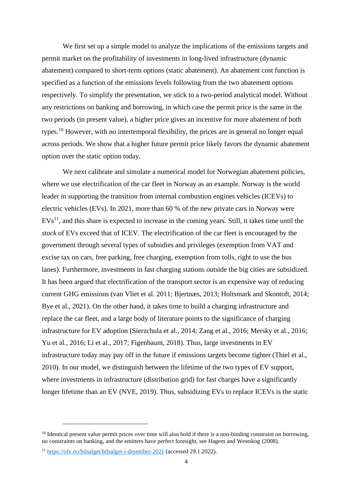We first set up a simple model to analyze the implications of the emissions targets and permit market on the profitability of investments in long-lived infrastructure (dynamic abatement) compared to short-term options (static abatement). An abatement cost function is specified as a function of the emissions levels following from the two abatement options respectively. To simplify the presentation, we stick to a two-period analytical model. Without any restrictions on banking and borrowing, in which case the permit price is the same in the two periods (in present value), a higher price gives an incentive for more abatement of both types.<sup>10</sup> However, with no intertemporal flexibility, the prices are in general no longer equal across periods. We show that a higher future permit price likely favors the dynamic abatement option over the static option today.

We next calibrate and simulate a numerical model for Norwegian abatement policies, where we use electrification of the car fleet in Norway as an example. Norway is the world leader in supporting the transition from internal combustion engines vehicles (ICEVs) to electric vehicles (EVs). In 2021, more than 60 % of the new private cars in Norway were  $EVs<sup>11</sup>$ , and this share is expected to increase in the coming years. Still, it takes time until the *stock* of EVs exceed that of ICEV. The electrification of the car fleet is encouraged by the government through several types of subsidies and privileges (exemption from VAT and excise tax on cars, free parking, free charging, exemption from tolls, right to use the bus lanes). Furthermore, investments in fast charging stations outside the big cities are subsidized. It has been argued that electrification of the transport sector is an expensive way of reducing current GHG emissions (van Vliet et al. 2011; Bjertnæs, 2013; Holtsmark and Skontoft, 2014; Bye et al., 2021). On the other hand, it takes time to build a charging infrastructure and replace the car fleet, and a large body of literature points to the significance of charging infrastructure for EV adoption (Sierzchula et al., 2014; Zang et al., 2016; Mersky et al., 2016; Yu et al., 2016; Li et al., 2017; Figenbaum, 2018). Thus, large investments in EV infrastructure today may pay off in the future if emissions targets become tighter (Thiel et al., 2010). In our model, we distinguish between the lifetime of the two types of EV support, where investments in infrastructure (distribution grid) for fast charges have a significantly longer lifetime than an EV (NVE, 2019). Thus, subsidizing EVs to replace ICEVs is the static

 $10$  Identical present value permit prices over time will also hold if there is a non-binding constraint on borrowing, no constraints on banking, and the emitters have perfect foresight, see Hagem and Westskog (2008).

<sup>11</sup> <https://ofv.no/bilsalget/bilsalget-i-desember-2021> (accessed 29.1.2022).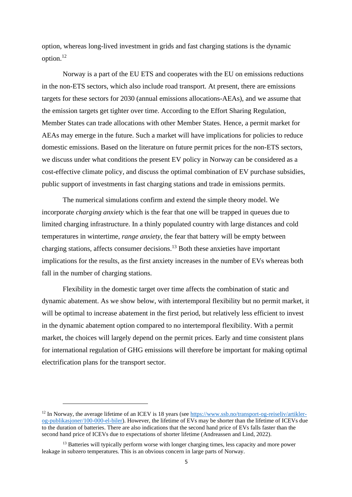option, whereas long-lived investment in grids and fast charging stations is the dynamic option.<sup>12</sup>

Norway is a part of the EU ETS and cooperates with the EU on emissions reductions in the non-ETS sectors, which also include road transport. At present, there are emissions targets for these sectors for 2030 (annual emissions allocations-AEAs), and we assume that the emission targets get tighter over time. According to the Effort Sharing Regulation, Member States can trade allocations with other Member States. Hence, a permit market for AEAs may emerge in the future. Such a market will have implications for policies to reduce domestic emissions. Based on the literature on future permit prices for the non-ETS sectors, we discuss under what conditions the present EV policy in Norway can be considered as a cost-effective climate policy, and discuss the optimal combination of EV purchase subsidies, public support of investments in fast charging stations and trade in emissions permits.

The numerical simulations confirm and extend the simple theory model. We incorporate *charging anxiety* which is the fear that one will be trapped in queues due to limited charging infrastructure. In a thinly populated country with large distances and cold temperatures in wintertime, *range anxiety*, the fear that battery will be empty between charging stations, affects consumer decisions.<sup>13</sup> Both these anxieties have important implications for the results, as the first anxiety increases in the number of EVs whereas both fall in the number of charging stations.

Flexibility in the domestic target over time affects the combination of static and dynamic abatement. As we show below, with intertemporal flexibility but no permit market, it will be optimal to increase abatement in the first period, but relatively less efficient to invest in the dynamic abatement option compared to no intertemporal flexibility. With a permit market, the choices will largely depend on the permit prices. Early and time consistent plans for international regulation of GHG emissions will therefore be important for making optimal electrification plans for the transport sector.

<sup>&</sup>lt;sup>12</sup> In Norway, the average lifetime of an ICEV is 18 years (see [https://www.ssb.no/transport-og-reiseliv/artikler](https://www.ssb.no/transport-og-reiseliv/artikler-og-publikasjoner/100-000-el-biler)[og-publikasjoner/100-000-el-biler\)](https://www.ssb.no/transport-og-reiseliv/artikler-og-publikasjoner/100-000-el-biler). However, the lifetime of EVs may be shorter than the lifetime of ICEVs due to the duration of batteries. There are also indications that the second hand price of EVs falls faster than the second hand price of ICEVs due to expectations of shorter lifetime (Andreassen and Lind, 2022).

<sup>&</sup>lt;sup>13</sup> Batteries will typically perform worse with longer charging times, less capacity and more power leakage in subzero temperatures. This is an obvious concern in large parts of Norway.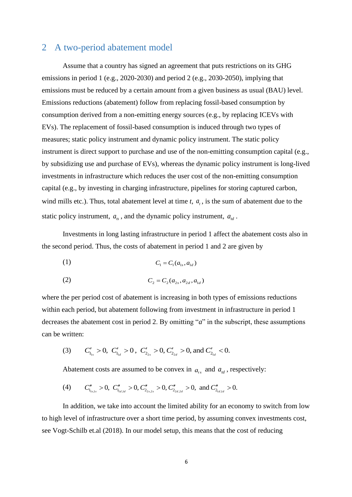### <span id="page-6-0"></span>2 A two-period abatement model

Assume that a country has signed an agreement that puts restrictions on its GHG emissions in period 1 (e.g., 2020-2030) and period 2 (e.g., 2030-2050), implying that emissions must be reduced by a certain amount from a given business as usual (BAU) level. Emissions reductions (abatement) follow from replacing fossil-based consumption by consumption derived from a non-emitting energy sources (e.g., by replacing ICEVs with EVs). The replacement of fossil-based consumption is induced through two types of measures; static policy instrument and dynamic policy instrument. The static policy instrument is direct support to purchase and use of the non-emitting consumption capital (e.g., by subsidizing use and purchase of EVs), whereas the dynamic policy instrument is long-lived investments in infrastructure which reduces the user cost of the non-emitting consumption capital (e.g., by investing in charging infrastructure, pipelines for storing captured carbon, wind mills etc.). Thus, total abatement level at time  $t$ ,  $a_t$ , is the sum of abatement due to the static policy instrument,  $a_{ts}$ , and the dynamic policy instrument,  $a_{td}$ .

Investments in long lasting infrastructure in period 1 affect the abatement costs also in the second period. Thus, the costs of abatement in period 1 and 2 are given by

(1) 
$$
C_1 = C_1(a_{1s}, a_{1d})
$$

(2) 
$$
C_2 = C_2(a_{2s}, a_{2d}, a_{1d})
$$

where the per period cost of abatement is increasing in both types of emissions reductions within each period, but abatement following from investment in infrastructure in period 1 decreases the abatement cost in period 2. By omitting "*a*" in the subscript, these assumptions can be written:

(3)  $C'_{1_{1s}} > 0$ ,  $C'_{1_{1d}} > 0$ ,  $C'_{2_{2s}} > 0$ ,  $C'_{2_{2d}} > 0$ , and  $C'_{2_{1d}} < 0$ .

Abatement costs are assumed to be convex in  $a_{ts}$  and  $a_{td}$ , respectively:

(4) nent costs are assumed to be convex in  $a_{ts}$  and  $a_{td}$ , respectively.<br>  $C''_{1_{1s,1s}} > 0$ ,  $C''_{1_{1d,1d}} > 0$ ,  $C''_{2_{2s,2s}} > 0$ ,  $C''_{2_{2d,2d}} > 0$ , and  $C''_{2_{1d,1d}} > 0$ .

In addition, we take into account the limited ability for an economy to switch from low to high level of infrastructure over a short time period, by assuming convex investments cost, see Vogt-Schilb et.al (2018). In our model setup, this means that the cost of reducing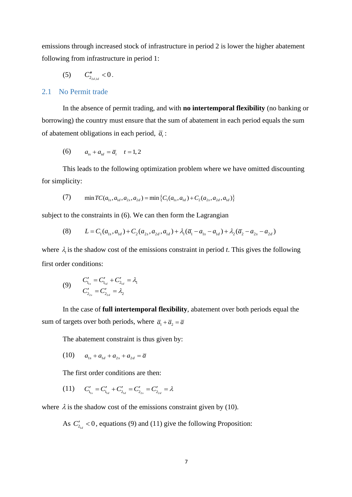emissions through increased stock of infrastructure in period 2 is lower the higher abatement following from infrastructure in period 1:

(5)  $C''_{2_{2d,1d}} < 0$ .

#### 2.1 No Permit trade

In the absence of permit trading, and with **no intertemporal flexibility** (no banking or borrowing) the country must ensure that the sum of abatement in each period equals the sum of abatement obligations in each period,  $\overline{a}_{i}$ :

(6) 
$$
a_{ts} + a_{td} = \overline{a}_t \quad t = 1, 2
$$

This leads to the following optimization problem where we have omitted discounting for simplicity:

plicity:  
\n(7) 
$$
\min TC(a_{1s}, a_{1d}, a_{2s}, a_{2d}) = \min \{C_1(a_{1s}, a_{1d}) + C_2(a_{2s}, a_{2d}, a_{1d})\}
$$

subject to the constraints in (6). We can then form the Lagrangian

to the constraints in (6). We can then form the Lagrangian  
\n(8) 
$$
L = C_1(a_{1s}, a_{1d}) + C_2(a_{2s}, a_{2d}, a_{1d}) + \lambda_1(\overline{a}_1 - a_{1s} - a_{1d}) + \lambda_2(\overline{a}_2 - a_{2s} - a_{2d})
$$

where  $\lambda_i$  is the shadow cost of the emissions constraint in period *t*. This gives the following first order conditions:

(9) 
$$
C'_{1_{1s}} = C'_{1_{1d}} + C'_{2_{1d}} = \lambda_1
$$

$$
C'_{2_{2s}} = C'_{2_{2d}} = \lambda_2
$$

In the case of **full intertemporal flexibility**, abatement over both periods equal the sum of targets over both periods, where  $\bar{a}_1 + \bar{a}_2 = \bar{a}$ 

The abatement constraint is thus given by:

(10) 
$$
a_{1s} + a_{1d} + a_{2s} + a_{2d} = \overline{a}
$$

The first order conditions are then:

(11) 
$$
C'_{1_{1s}} = C'_{1_{1d}} + C'_{2_{1d}} = C'_{2_{2s}} = C'_{2_{2d}} = \lambda
$$

where  $\lambda$  is the shadow cost of the emissions constraint given by (10).

As  $C'_{2a}$  < 0, equations (9) and (11) give the following Proposition: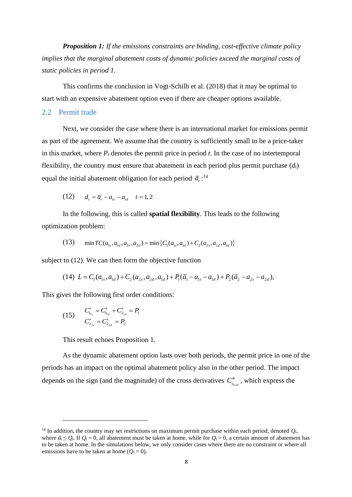*Proposition 1: If the emissions constraints are binding, cost-effective climate policy implies that the marginal abatement costs of dynamic policies exceed the marginal costs of static policies in period 1.*

This confirms the conclusion in Vogt-Schilb et al. (2018) that it may be optimal to start with an expensive abatement option even if there are cheaper options available.

#### 2.2 Permit trade

Next, we consider the case where there is an international market for emissions permit as part of the agreement. We assume that the country is sufficiently small to be a price-taker in this market, where  $P_t$  denotes the permit price in period  $t$ . In the case of no intertemporal flexibility, the country must ensure that abatement in each period plus permit purchase (*dt*) equal the initial abatement obligation for each period  $\bar{a}_{i}$ :<sup>14</sup>

(12) 
$$
d_t = \overline{a}_t - a_{ts} - a_{td}
$$
  $t = 1, 2$ 

In the following, this is called **spatial flexibility**. This leads to the following optimization problem:

\n (13) 
$$
\min \text{TC}(a_{1s}, a_{1d}, a_{2s}, a_{2d}) = \min \{ C_1(a_{1s}, a_{1d}) + C_2(a_{2s}, a_{2d}, a_{1d}) \}
$$
\n

subject to (12). We can then form the objective function

to (12). We can then form the objective function  
(14) 
$$
L = C_1(a_{1s}, a_{1d}) + C_2(a_{2s}, a_{2d}, a_{1d}) + P_1(\overline{a}_1 - a_{1s} - a_{1d}) + P_2(\overline{a}_2 - a_{2s} - a_{2d}),
$$

This gives the following first order conditions:

(15) 
$$
C'_{1_{1s}} = C'_{1_{1d}} + C'_{2_{1d}} = P_1
$$

$$
C'_{2_{2s}} = C'_{2_{2d}} = P_2
$$

This result echoes Proposition 1.

As the dynamic abatement option lasts over both periods, the permit price in one of the periods has an impact on the optimal abatement policy also in the other period. The impact depends on the sign (and the magnitude) of the cross derivatives  $C_{t_{ts,d}}^{\prime\prime}$ , which express the

<sup>&</sup>lt;sup>14</sup> In addition, the country may set restrictions on maximum permit purchase within each period, denoted  $Q_t$ , where  $d_t \leq Q_t$ . If  $Q_t = 0$ , all abatement must be taken at home, while for  $Q_t > 0$ , a certain amount of abatement has to be taken at home. In the simulations below, we only consider cases where there are no constraint or where all emissions have to be taken at home  $(Q_t = 0)$ .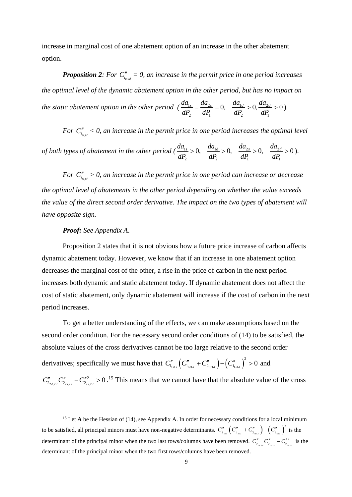increase in marginal cost of one abatement option of an increase in the other abatement option.

**Proposition 2**: For  $C_{t_{ts,d}}'' = 0$ , an increase in the permit price in one period increases *the optimal level of the dynamic abatement option in the other period, but has no impact on the static abatement option in the other period*  $\left(\frac{da_{1s}}{dt} - \frac{da_{2s}}{dt}\right) = 0$ ,  $\frac{da_{1d}}{dt} > 0$ ,  $\frac{da_{2s}}{dt}$  $P_2$  dP<sub>1</sub>  $\qquad$   $dP_2$   $\qquad$   $dP_1$  $\frac{da_{1s}}{dP} = \frac{da_{2s}}{dP} = 0$ ,  $\frac{da_{1d}}{dP} > 0$ ,  $\frac{da_{2d}}{dP} > 0$  $rac{da_{1s}}{dP_2} = \frac{da_{2s}}{dP_1} = 0$ ,  $\frac{da_{1d}}{dP_2} > 0$ ,  $\frac{da_2}{dP_1}$  $=\frac{da_{2s}}{d\mathbf{p}}=0$ ,  $\frac{da_{1d}}{d\mathbf{p}}>0$ ,  $\frac{da_{2d}}{d\mathbf{p}}>0$ ).

For  $C_{t_{ts,d}}'' < 0$ , an increase in the permit price in one period increases the optimal level

of both types of abatement in the other period 
$$
(\frac{da_{1s}}{dP_2} > 0, \frac{da_{1d}}{dP_2} > 0, \frac{da_{2s}}{dP_1} > 0, \frac{da_{2d}}{dP_1} > 0)
$$
.

*For*  $C_{t_{ts,td}}'' > 0$ , an increase in the permit price in one period can increase or decrease *the optimal level of abatements in the other period depending on whether the value exceeds the value of the direct second order derivative. The impact on the two types of abatement will have opposite sign.* 

#### *Proof: See Appendix A*.

Proposition 2 states that it is not obvious how a future price increase of carbon affects dynamic abatement today. However, we know that if an increase in one abatement option decreases the marginal cost of the other, a rise in the price of carbon in the next period increases both dynamic and static abatement today. If dynamic abatement does not affect the cost of static abatement, only dynamic abatement will increase if the cost of carbon in the next period increases.

To get a better understanding of the effects, we can make assumptions based on the second order condition. For the necessary second order conditions of (14) to be satisfied, the absolute values of the cross derivatives cannot be too large relative to the second order derivatives; specifically we must have that  $C''_{1_{1}}(C''_{1_{1}} + C''_{2_{1}}) - (C''_{1_{1_{s1}d}})^2 > 0$  and  $_{2d,2d}$   $\mathcal{L}_{2s,2s}$   $\mathcal{L}_{2s,2}$  $C''_{2_{2d,2d}} C''_{2_{2s,2s}} - C''_{2_{2s,2d}} > 0$ .<sup>15</sup> This means that we cannot have that the absolute value of the cross

<span id="page-9-0"></span><sup>&</sup>lt;sup>15</sup> Let **A** be the Hessian of (14), see Appendix A. In order for necessary conditions for a local minimum to be satisfied, all principal minors must have non-negative determinants.  $C''_{1_{\text{max}}}$   $\left(C''_{1_{\text{max}}}$   $+ C''_{2_{\text{max}}} \right) - \left(C''_{1_{\text{max}}} \right)^2$  $C''_{1_{\text{data}}}$   $\left(C''_{1_{\text{data}}}$  +  $C''_{2_{\text{data}}}$   $\right) - \left(C''_{1_{\text{total}}}$   $\right)^2$  is the determinant of the principal minor when the two last rows/columns have been removed.  $C''_{2_{2,2,2}}C''_{2_{2,2,2}} - C''_{2_{2,2}}$ 2  $C''_{2_{2d,2d}}C''_{2_{2s,2s}}-C''^{2}_{2_{2s,2d}}$  is the determinant of the principal minor when the two first rows/columns have been removed.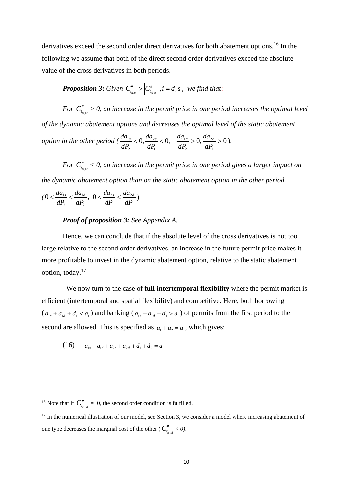derivatives exceed the second order direct derivatives for both abatement options.<sup>16</sup> In the following we assume that both of the direct second order derivatives exceed the absolute value of the cross derivatives in both periods.

*Proposition 3***:** Given  $C_{t_{u,i}}^{\prime\prime} > \left| C_{t_{u,i}}^{\prime\prime}\right|, i = d, s$  , we find that:

*For*  $C_{t_{ts,d}}'' > 0$ , an increase in the permit price in one period increases the optimal level *of the dynamic abatement options and decreases the optimal level of the static abatement option in the other period*  $(\frac{da_{1s}}{dt} < 0, \frac{da_{2s}}{dt} < 0, \frac{da_{1d}}{dt} > 0, \frac{da_{2s}}{dt}$  $\int_2^2$   $dP_1$   $dP_2$   $dP_1$ prions and decreases the optimal teve<br>  $\frac{da_{1s}}{dP} < 0, \frac{da_{2s}}{dP} < 0, \frac{da_{1d}}{dP} > 0, \frac{da_{2d}}{dP} > 0$  $\frac{da_{1s}}{dP_2} < 0, \frac{da_{2s}}{dP_1} < 0, \quad \frac{da_{1d}}{dP_2} > 0, \frac{da_2}{dP_1}$  $\langle 0, \frac{da_{2s}}{dP} \rangle < 0, \quad \frac{da_{1d}}{dP} > 0, \frac{da_{2d}}{dP} > 0$ ).

*For*  $C_{t_{ts,d}}'' < 0$ , an increase in the permit price in one period gives a larger impact on *the dynamic abatement option than on the static abatement option in the other period* 

$$
(0 < \frac{da_{1s}}{dP_2} < \frac{da_{1d}}{dP_2}, 0 < \frac{da_{2s}}{dP_1} < \frac{da_{2d}}{dP_1}).
$$

#### *Proof of proposition 3: See Appendix A.*

Hence, we can conclude that if the absolute level of the cross derivatives is not too large relative to the second order derivatives, an increase in the future permit price makes it more profitable to invest in the dynamic abatement option, relative to the static abatement option, today.<sup>17</sup>

We now turn to the case of **full intertemporal flexibility** where the permit market is efficient (intertemporal and spatial flexibility) and competitive. Here, both borrowing  $(a_{1s} + a_{1d} + d_1 < \overline{a_1})$  and banking  $(a_{1s} + a_{1d} + d_1 > \overline{a_1})$  of permits from the first period to the second are allowed. This is specified as  $\bar{a}_1 + \bar{a}_2 = \bar{a}$ , which gives:

(16) 
$$
a_{1s} + a_{1d} + a_{2s} + a_{2d} + d_1 + d_2 = \overline{a}
$$

<sup>&</sup>lt;sup>16</sup> Note that if  $C''_{t_{ts,d}} = 0$ , the second order condition is fulfilled.

 $17$  In the numerical illustration of our model, see Section 3, we consider a model where increasing abatement of one type decreases the marginal cost of the other ( $C''_{t_{ts,d}} < 0$ ).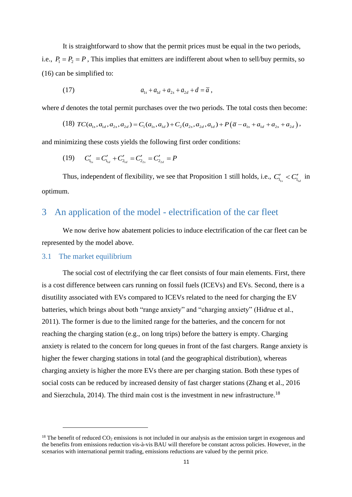It is straightforward to show that the permit prices must be equal in the two periods, i.e.,  $P_1 = P_2 = P$ , This implies that emitters are indifferent about when to sell/buy permits, so (16) can be simplified to:

(17) 
$$
a_{1s} + a_{1d} + a_{2s} + a_{2d} + d = \overline{a},
$$

where *d* denotes the total permit purchases over the two periods. The total costs then become:

*d* denotes the total permit purchases over the two periods. The total costs then become:  
(18) 
$$
TC(a_{1s}, a_{1d}, a_{2s}, a_{2d}) = C_1(a_{1s}, a_{1d}) + C_2(a_{2s}, a_{2d}, a_{1d}) + P(\overline{a} - a_{1s} + a_{1d} + a_{2s} + a_{2d}),
$$

and minimizing these costs yields the following first order conditions:

(19) 
$$
C'_{1_{1s}} = C'_{1_{1d}} + C'_{2_{1d}} = C'_{2_{2s}} = C'_{2_{2d}} = P
$$

Thus, independent of flexibility, we see that Proposition 1 still holds, i.e.,  $C'_{I_{1s}} < C'_{I_{1d}}$  in optimum.

## 3 An application of the model - electrification of the car fleet

We now derive how abatement policies to induce electrification of the car fleet can be represented by the model above.

#### 3.1 The market equilibrium

 $\mathcal{L}_{\mathcal{A}}$ 

The social cost of electrifying the car fleet consists of four main elements. First, there is a cost difference between cars running on fossil fuels (ICEVs) and EVs. Second, there is a disutility associated with EVs compared to ICEVs related to the need for charging the EV batteries, which brings about both "range anxiety" and "charging anxiety" (Hidrue et al., 2011). The former is due to the limited range for the batteries, and the concern for not reaching the charging station (e.g., on long trips) before the battery is empty. Charging anxiety is related to the concern for long queues in front of the fast chargers. Range anxiety is higher the fewer charging stations in total (and the geographical distribution), whereas charging anxiety is higher the more EVs there are per charging station. Both these types of social costs can be reduced by increased density of fast charger stations (Zhang et al., 2016 and Sierzchula, 2014). The third main cost is the investment in new infrastructure.<sup>18</sup>

<sup>&</sup>lt;sup>18</sup> The benefit of reduced  $CO_2$  emissions is not included in our analysis as the emission target in exogenous and the benefits from emissions reduction vis-à-vis BAU will therefore be constant across policies. However, in the scenarios with international permit trading, emissions reductions are valued by the permit price.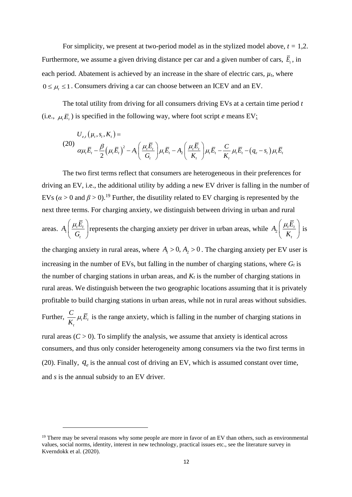For simplicity, we present at two-period model as in the stylized model above,  $t = 1,2$ . Furthermore, we assume a given driving distance per car and a given number of cars,  $\overline{E}_t$ , in each period. Abatement is achieved by an increase in the share of electric cars,  $\mu_t$ , where  $0 \leq \mu_{t} \leq 1$ . Consumers driving a car can choose between an ICEV and an EV.

The total utility from driving for all consumers driving EVs at a certain time period *t* (i.e.,  $\mu_i \overline{E}_i$ ) is specified in the following way, where foot script *e* means EV:<br>  $U_{e,t}(\mu_t, s_t, K_t) =$ 

(20)  
\n
$$
U_{e,t}(\mu_t, s_t, K_t) =
$$
\n
$$
\alpha \mu_t \overline{E}_t - \frac{\beta}{2} (\mu_t \overline{E}_t)^2 - A_t \left( \frac{\mu_t \overline{E}_t}{G_t} \right) \mu_t \overline{E}_t - A_2 \left( \frac{\mu_t \overline{E}_t}{K_t} \right) \mu_t \overline{E}_t - \frac{C}{K_t} \mu_t \overline{E}_t - (q_e - s_t) \mu_t \overline{E}_t
$$

The two first terms reflect that consumers are heterogeneous in their preferences for driving an EV, i.e., the additional utility by adding a new EV driver is falling in the number of EVs ( $\alpha > 0$  and  $\beta > 0$ ).<sup>19</sup> Further, the disutility related to EV charging is represented by the next three terms. For charging anxiety, we distinguish between driving in urban and rural

areas.  $A_1 \left| \frac{\mu_t L_t}{C} \right|$ *t*  $A_1\left(\frac{\mu_{t}E}{\sigma_{t}}\right)$ *G*  $\left(\mu_{i}\overline{E}_{i}\right)$  $\left(\frac{\mu_t L_t}{G_t}\right)$  represents the charging anxiety per driver in urban areas, while  $A_2\left(\frac{\mu_t L_t}{K_t}\right)$ *t*  $A_2 \left( \frac{\mu_t E}{\mu} \right)$ *K*  $\left(\mu_{t}\overline{E}_{t}\right)$  $\left(\frac{\mu_t E_t}{K_t}\right)$  is

the charging anxiety in rural areas, where  $A_1 > 0$ ,  $A_2 > 0$ . The charging anxiety per EV user is increasing in the number of EVs, but falling in the number of charging stations, where  $G_t$  is the number of charging stations in urban areas, and  $K_t$  is the number of charging stations in rural areas. We distinguish between the two geographic locations assuming that it is privately profitable to build charging stations in urban areas, while not in rural areas without subsidies.

Further,  $\frac{C}{K} \mu_t \overline{E}_t$ *t*  $\frac{C}{\mu}$  $\mu$ <sub>r</sub> $\overline{E}$  $\frac{\partial}{\partial K_i} \mu_i \overline{E}_i$  is the range anxiety, which is falling in the number of charging stations in

rural areas  $(C > 0)$ . To simplify the analysis, we assume that anxiety is identical across consumers, and thus only consider heterogeneity among consumers via the two first terms in (20). Finally,  $q_e$  is the annual cost of driving an EV, which is assumed constant over time, and *s* is the annual subsidy to an EV driver.

<sup>&</sup>lt;sup>19</sup> There may be several reasons why some people are more in favor of an EV than others, such as environmental values, social norms, identity, interest in new technology, practical issues etc., see the literature survey in Kverndokk et al. (2020).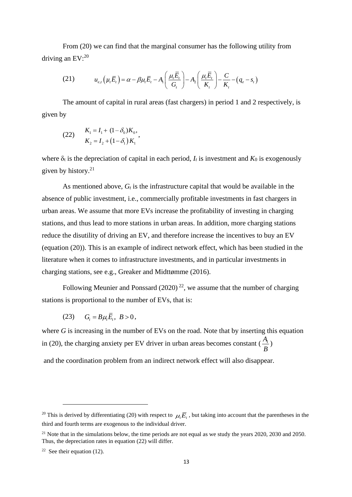From (20) we can find that the marginal consumer has the following utility from driving an EV:<sup>20</sup>

an EV:<sup>20</sup>  
(21) 
$$
u_{e,t}(\mu_t \overline{E}_t) = \alpha - \beta \mu_t \overline{E}_t - A_1 \left( \frac{\mu_t \overline{E}_t}{G_t} \right) - A_2 \left( \frac{\mu_t \overline{E}_t}{K_t} \right) - \frac{C}{K_t} - (q_e - s_t)
$$

The amount of capital in rural areas (fast chargers) in period 1 and 2 respectively, is given by

(22) 
$$
K_1 = I_1 + (1 - \delta_0) K_0,
$$

$$
K_2 = I_2 + (1 - \delta_1) K_1,
$$

where  $\delta_t$  is the depreciation of capital in each period,  $I_t$  is investment and  $K_0$  is exogenously given by history. $21$ 

As mentioned above,  $G_t$  is the infrastructure capital that would be available in the absence of public investment, i.e., commercially profitable investments in fast chargers in urban areas. We assume that more EVs increase the profitability of investing in charging stations, and thus lead to more stations in urban areas. In addition, more charging stations reduce the disutility of driving an EV, and therefore increase the incentives to buy an EV (equation (20)). This is an example of indirect network effect, which has been studied in the literature when it comes to infrastructure investments, and in particular investments in charging stations, see e.g., Greaker and Midttømme (2016).

Following Meunier and Ponssard (2020)<sup>22</sup>, we assume that the number of charging stations is proportional to the number of EVs, that is:

(23)  $G_t = B\mu_t \overline{E}_t, B > 0,$ 

where *G* is increasing in the number of EVs on the road. Note that by inserting this equation in (20), the charging anxiety per EV driver in urban areas becomes constant  $\left(\frac{A_1}{A}\right)$ *B* )

and the coordination problem from an indirect network effect will also disappear.

<sup>&</sup>lt;sup>20</sup> This is derived by differentiating (20) with respect to  $\mu_i \overline{E}_i$ , but taking into account that the parentheses in the third and fourth terms are exogenous to the individual driver.

<sup>&</sup>lt;sup>21</sup> Note that in the simulations below, the time periods are not equal as we study the years  $2020$ ,  $2030$  and  $2050$ . Thus, the depreciation rates in equation (22) will differ.

<sup>&</sup>lt;sup>22</sup> See their equation (12).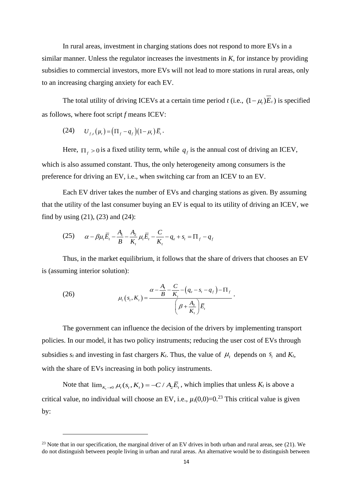In rural areas, investment in charging stations does not respond to more EVs in a similar manner. Unless the regulator increases the investments in *K*, for instance by providing subsidies to commercial investors, more EVs will not lead to more stations in rural areas, only to an increasing charging anxiety for each EV.

The total utility of driving ICEVs at a certain time period *t* (i.e.,  $(1 - \mu_t)E_t$ ) is specified as follows, where foot script *f* means ICEV:

(24) 
$$
U_{f,t}(\mu_t) = (\Pi_f - q_f)(1 - \mu_t) \bar{E}_t.
$$

Here,  $\prod_{f} > 0$  is a fixed utility term, while  $q_f$  is the annual cost of driving an ICEV, which is also assumed constant. Thus, the only heterogeneity among consumers is the preference for driving an EV, i.e., when switching car from an ICEV to an EV.

Each EV driver takes the number of EVs and charging stations as given. By assuming that the utility of the last consumer buying an EV is equal to its utility of driving an ICEV, we find by using  $(21)$ ,  $(23)$  and  $(24)$ :

(25) 
$$
\alpha - \beta \mu_t \overline{E}_t - \frac{A_1}{B} - \frac{A_2}{K_t} \mu_t \overline{E}_t - \frac{C}{K_t} - q_e + s_t = \Pi_f - q_f
$$

Thus, in the market equilibrium, it follows that the share of drivers that chooses an EV is (assuming interior solution):

(26) 
$$
\mu_{t}(s_{t}, K_{t}) = \frac{\alpha - \frac{A_{1}}{B} - \frac{C}{K_{t}} - (q_{e} - s_{t} - q_{f}) - \Pi_{f}}{\left(\beta + \frac{A_{2}}{K_{t}}\right)\overline{E}_{t}}.
$$

The government can influence the decision of the drivers by implementing transport policies. In our model, it has two policy instruments; reducing the user cost of EVs through subsidies  $s_t$  and investing in fast chargers  $K_t$ . Thus, the value of  $\mu_t$  depends on  $s_t$  and  $K_t$ , with the share of EVs increasing in both policy instruments.

Note that  $\lim_{K_t\to 0} \mu_t(s_t, K_t) = -C/A_2\overline{E}_t$ , which implies that unless  $K_t$  is above a critical value, no individual will choose an EV, i.e.,  $\mu_t(0,0)=0$ <sup>23</sup> This critical value is given by:

<sup>&</sup>lt;sup>23</sup> Note that in our specification, the marginal driver of an EV drives in both urban and rural areas, see  $(21)$ . We do not distinguish between people living in urban and rural areas. An alternative would be to distinguish between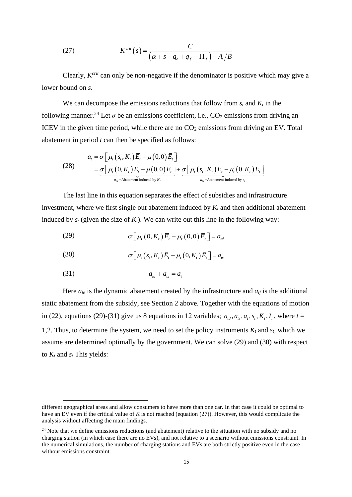(27) 
$$
K^{crit}(s) = \frac{C}{\left(\alpha + s - q_e + q_f - \Pi_f\right) - A_i/B}
$$

Clearly, *K crit* can only be non-negative if the denominator is positive which may give a lower bound on *s*.

We can decompose the emissions reductions that follow from  $s_t$  and  $K_t$  in the following manner.<sup>24</sup> Let  $\sigma$  be an emissions coefficient, i.e., CO<sub>2</sub> emissions from driving an ICEV in the given time period, while there are no  $CO<sub>2</sub>$  emissions from driving an EV. Total

abatement in period *t* can then be specified as follows:  
\n
$$
a_{t} = \sigma \Big[ \mu_{t} (s_{t}, K_{t}) \overline{E}_{t} - \mu(0, 0) \overline{E}_{t} \Big]
$$
\n
$$
= \underbrace{\sigma \Big[ \mu_{t} (0, K_{t}) \overline{E}_{t} - \mu(0, 0) \overline{E}_{t} \Big]}_{a_{td} = \text{Abatement induced by } K_{t}} + \underbrace{\sigma \Big[ \mu_{t} (s_{t}, K_{t}) \overline{E}_{t} - \mu_{t} (0, K_{t}) \overline{E}_{t} \Big]}_{a_{ts} = \text{Abatement induced by } s_{t}}
$$

The last line in this equation separates the effect of subsidies and infrastructure investment, where we first single out abatement induced by  $K_t$  and then additional abatement induced by  $s_t$  (given the size of  $K_t$ ). We can write out this line in the following way:

(29) 
$$
\sigma \big[ \mu_t(0, K_t) \bar{E}_t - \mu_t(0, 0) \bar{E}_t \big] = a_{td}
$$

(30) 
$$
\sigma\big[\mu_t(s_t,K_t)\overline{E}_t-\mu_t(0,K_t)\overline{E}_t\big]=a_{ts}
$$

$$
(31) \t\t\t a_{\scriptscriptstyle{td}} + a_{\scriptscriptstyle{ts}} = a_{\scriptscriptstyle{l}}
$$

Here  $a_{te}$  is the dynamic abatement created by the infrastructure and  $a_{tf}$  is the additional static abatement from the subsidy, see Section 2 above. Together with the equations of motion in (22), equations (29)-(31) give us 8 equations in 12 variables;  $a_{td}, a_{ts}, a_t, s_t, K_t, I_t$ , where  $t =$ 1,2. Thus, to determine the system, we need to set the policy instruments  $K_t$  and  $s_t$ , which we assume are determined optimally by the government. We can solve (29) and (30) with respect to  $K_t$  and  $s_t$  This yields:

different geographical areas and allow consumers to have more than one car. In that case it could be optimal to have an EV even if the critical value of *K* is not reached (equation (27)). However, this would complicate the analysis without affecting the main findings.

<sup>&</sup>lt;sup>24</sup> Note that we define emissions reductions (and abatement) relative to the situation with no subsidy and no charging station (in which case there are no EVs), and not relative to a scenario without emissions constraint. In the numerical simulations, the number of charging stations and EVs are both strictly positive even in the case without emissions constraint.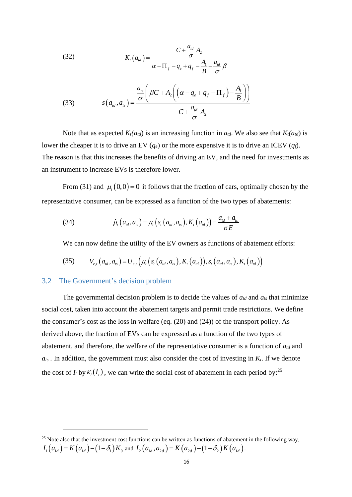(32) 
$$
K_t(a_{id}) = \frac{C + \frac{a_{id}}{\sigma} A_2}{\alpha - \Pi_f - q_e + q_f - \frac{A_1}{B} - \frac{a_{id}}{\sigma} \beta}
$$

(33) 
$$
s(a_{id}, a_{is}) = \frac{\frac{a_{is}}{\sigma} \left( \beta C + A_2 \left( \left( \alpha - q_e + q_f - \Pi_f \right) - \frac{A_1}{B} \right) \right)}{C + \frac{a_{id}}{\sigma} A_2}
$$

Note that as expected  $K_t(a_{td})$  is an increasing function in  $a_{td}$ . We also see that  $K_t(a_{td})$  is lower the cheaper it is to drive an EV  $(q_e)$  or the more expensive it is to drive an ICEV  $(q_f)$ . The reason is that this increases the benefits of driving an EV, and the need for investments as an instrument to increase EVs is therefore lower.

From (31) and  $\mu_t(0,0) = 0$  it follows that the fraction of cars, optimally chosen by the representative consumer, can be expressed as a function of the two types of abatements:

(34) 
$$
\hat{\mu}_t(a_{id}, a_{ts}) = \mu_t(s_t(a_{id}, a_{ts}), K_t(a_{id})) = \frac{a_{id} + a_{ts}}{\sigma \bar{E}}
$$

We can now define the utility of the EV owners as functions of abatement efforts:  
(35) 
$$
V_{e,t}(a_{td}, a_{ts}) = U_{e,t}(\mu_t(s_t(a_{td}, a_{ts}), K_t(a_{td})), s_t(a_{td}, a_{ts}), K_t(a_{td}))
$$

#### 3.2 The Government's decision problem

The governmental decision problem is to decide the values of  $a_{td}$  and  $a_{ts}$  that minimize social cost, taken into account the abatement targets and permit trade restrictions. We define the consumer's cost as the loss in welfare (eq. (20) and (24)) of the transport policy. As derived above, the fraction of EVs can be expressed as a function of the two types of abatement, and therefore, the welfare of the representative consumer is a function of *atd* and  $a<sub>ts</sub>$ . In addition, the government must also consider the cost of investing in  $K<sub>t</sub>$ . If we denote the cost of  $I_t$  by  $\kappa_t(I_t)$ , we can write the social cost of abatement in each period by:<sup>25</sup>

<sup>&</sup>lt;sup>25</sup> Note also that the investment cost functions can be written as functions of abatement in the following way, <sup>15</sup> Note also that the investment cost functions can be written as functions of abatemen  $I_1(a_{1d}) = K(a_{1d}) - (1 - \delta_1)K_0$  and  $I_2(a_{1d}, a_{2d}) = K(a_{2d}) - (1 - \delta_2)K(a_{1d})$ .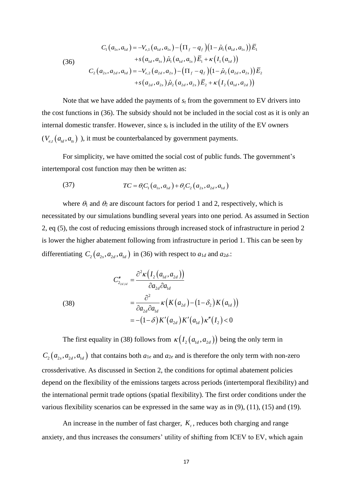(36)  
\n
$$
C_{1}(a_{1s}, a_{1d}) = -V_{e,1}(a_{1d}, a_{1s}) - (\Pi_{f} - q_{f})(1 - \hat{\mu}_{1}(a_{1d}, a_{1s}))\overline{E}_{1}
$$
\n
$$
+ s(a_{1d}, a_{1s})\hat{\mu}_{1}(a_{1d}, a_{1s})\overline{E}_{1} + \kappa(I_{1}(a_{1d}))
$$
\n
$$
C_{2}(a_{2s}, a_{2d}, a_{1d}) = -V_{e,2}(a_{2d}, a_{2s}) - (\Pi_{f} - q_{f})(1 - \hat{\mu}_{2}(a_{2d}, a_{2s}))\overline{E}_{2}
$$
\n
$$
+ s(a_{2d}, a_{2s})\hat{\mu}_{2}(a_{2d}, a_{2s})\overline{E}_{2} + \kappa(I_{2}(a_{1d}, a_{2d}))
$$

Note that we have added the payments of  $s_t$  from the government to EV drivers into the cost functions in (36). The subsidy should not be included in the social cost as it is only an internal domestic transfer. However, since  $s_t$  is included in the utility of the EV owners  $(V_{e,t}(a_{td}, a_{ts})$ ), it must be counterbalanced by government payments.

For simplicity, we have omitted the social cost of public funds. The government's intertemporal cost function may then be written as:

(37) 
$$
TC = \theta_1 C_1 (a_{1s}, a_{1d}) + \theta_2 C_2 (a_{2s}, a_{2d}, a_{1d})
$$

where  $\theta_1$  and  $\theta_2$  are discount factors for period 1 and 2, respectively, which is necessitated by our simulations bundling several years into one period. As assumed in Section [2,](#page-6-0) eq (5), the cost of reducing emissions through increased stock of infrastructure in period 2 is lower the higher abatement following from infrastructure in period 1. This can be seen by differentiating  $C_2(a_{2s}, a_{2d}, a_{1d})$  in (36) with respect to  $a_{1d}$  and  $a_{2d}$ .

(38)  
\n
$$
C_{2_{2d,d}}'' = \frac{\partial^2 \kappa (I_2(a_{1d}, a_{2d}))}{\partial a_{2d} \partial a_{1d}}
$$
\n
$$
= \frac{\partial^2}{\partial a_{2d} \partial a_{1d}} \kappa (K(a_{2d}) - (1 - \delta_2) K(a_{1d}))
$$
\n
$$
= -(1 - \delta) K'(a_{2d}) K'(a_{1d}) \kappa''(I_2) < 0
$$

The first equality in (38) follows from  $\kappa(I_2(a_{1d}, a_{2d}))$  being the only term in  $C_2(a_{2s}, a_{2d}, a_{1d})$  that contains both  $a_{1e}$  and  $a_{2e}$  and is therefore the only term with non-zero crossderivative. As discussed in Section [2,](#page-6-0) the conditions for optimal abatement policies depend on the flexibility of the emissions targets across periods (intertemporal flexibility) and the international permit trade options (spatial flexibility). The first order conditions under the various flexibility scenarios can be expressed in the same way as in (9), (11), (15) and (19).

An increase in the number of fast charger,  $K_t$ , reduces both charging and range anxiety, and thus increases the consumers' utility of shifting from ICEV to EV, which again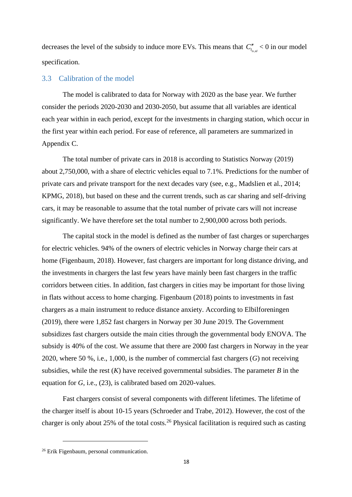decreases the level of the subsidy to induce more EVs. This means that  $C_{t_{ts,td}}'' < 0$  in our model specification.

#### 3.3 Calibration of the model

The model is calibrated to data for Norway with 2020 as the base year. We further consider the periods 2020-2030 and 2030-2050, but assume that all variables are identical each year within in each period, except for the investments in charging station, which occur in the first year within each period. For ease of reference, all parameters are summarized in Appendix C.

The total number of private cars in 2018 is according to Statistics Norway (2019) about 2,750,000, with a share of electric vehicles equal to 7.1%. Predictions for the number of private cars and private transport for the next decades vary (see, e.g., Madslien et al., 2014; KPMG, 2018), but based on these and the current trends, such as car sharing and self-driving cars, it may be reasonable to assume that the total number of private cars will not increase significantly. We have therefore set the total number to 2,900,000 across both periods.

The capital stock in the model is defined as the number of fast charges or supercharges for electric vehicles. 94% of the owners of electric vehicles in Norway charge their cars at home (Figenbaum, 2018). However, fast chargers are important for long distance driving, and the investments in chargers the last few years have mainly been fast chargers in the traffic corridors between cities. In addition, fast chargers in cities may be important for those living in flats without access to home charging. Figenbaum (2018) points to investments in fast chargers as a main instrument to reduce distance anxiety. According to Elbilforeningen (2019), there were 1,852 fast chargers in Norway per 30 June 2019. The Government subsidizes fast chargers outside the main cities through the governmental body ENOVA. The subsidy is 40% of the cost. We assume that there are 2000 fast chargers in Norway in the year 2020, where 50 %, i.e., 1,000, is the number of commercial fast chargers (*G*) not receiving subsidies, while the rest  $(K)$  have received governmental subsidies. The parameter  $B$  in the equation for *G*, i.e., (23), is calibrated based om 2020-values.

Fast chargers consist of several components with different lifetimes. The lifetime of the charger itself is about 10-15 years (Schroeder and Trabe, 2012). However, the cost of the charger is only about 25% of the total costs.<sup>26</sup> Physical facilitation is required such as casting

<sup>&</sup>lt;sup>26</sup> Erik Figenbaum, personal communication.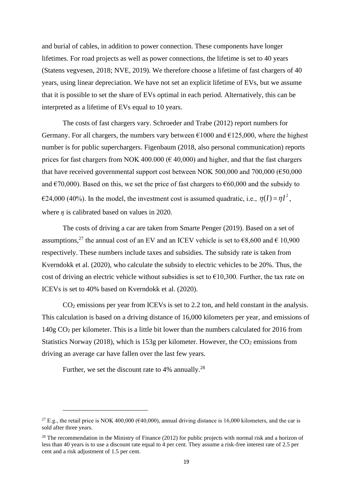and burial of cables, in addition to power connection. These components have longer lifetimes. For road projects as well as power connections, the lifetime is set to 40 years (Statens vegvesen, 2018; NVE, 2019). We therefore choose a lifetime of fast chargers of 40 years, using linear depreciation. We have not set an explicit lifetime of EVs, but we assume that it is possible to set the share of EVs optimal in each period. Alternatively, this can be interpreted as a lifetime of EVs equal to 10 years.

The costs of fast chargers vary. Schroeder and Trabe (2012) report numbers for Germany. For all chargers, the numbers vary between  $\epsilon$ 1000 and  $\epsilon$ 125,000, where the highest number is for public superchargers. Figenbaum (2018, also personal communication) reports prices for fast chargers from NOK 400.000 ( $\epsilon$  40,000) and higher, and that the fast chargers that have received governmental support cost between NOK 500,000 and 700,000  $(\text{\textsterling}50,000$ and  $\epsilon$ 70,000). Based on this, we set the price of fast chargers to  $\epsilon$ 60,000 and the subsidy to  $\epsilon$ 24,000 (40%). In the model, the investment cost is assumed quadratic, i.e.,  $\eta(I) = \eta I^2$ , where  $\eta$  is calibrated based on values in 2020.

The costs of driving a car are taken from Smarte Penger (2019). Based on a set of assumptions,<sup>27</sup> the annual cost of an EV and an ICEV vehicle is set to  $\epsilon$ 8,600 and  $\epsilon$  10,900 respectively. These numbers include taxes and subsidies. The subsidy rate is taken from Kverndokk et al. (2020), who calculate the subsidy to electric vehicles to be 20%. Thus, the cost of driving an electric vehicle without subsidies is set to  $\epsilon$ 10,300. Further, the tax rate on ICEVs is set to 40% based on Kverndokk et al. (2020).

CO<sup>2</sup> emissions per year from ICEVs is set to 2.2 ton, and held constant in the analysis. This calculation is based on a driving distance of 16,000 kilometers per year, and emissions of 140g CO<sup>2</sup> per kilometer. This is a little bit lower than the numbers calculated for 2016 from Statistics Norway (2018), which is 153g per kilometer. However, the  $CO<sub>2</sub>$  emissions from driving an average car have fallen over the last few years.

Further, we set the discount rate to  $4\%$  annually.<sup>28</sup>

<sup>&</sup>lt;sup>27</sup> E.g., the retail price is NOK 400,000 ( $\epsilon$ 40,000), annual driving distance is 16,000 kilometers, and the car is sold after three years.

 $^{28}$  The recommendation in the Ministry of Finance (2012) for public projects with normal risk and a horizon of less than 40 years is to use a discount rate equal to 4 per cent. They assume a risk-free interest rate of 2.5 per cent and a risk adjustment of 1.5 per cent.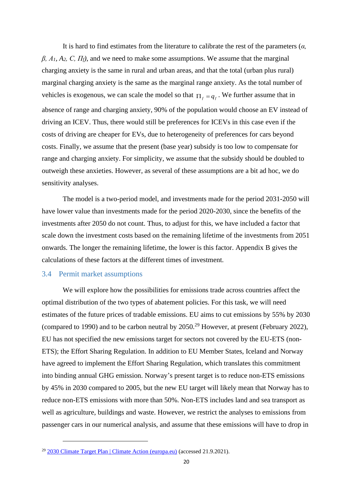It is hard to find estimates from the literature to calibrate the rest of the parameters (*α,*   $β$ ,  $A_1$ ,  $A_2$ ,  $C$ ,  $\Pi_f$ ), and we need to make some assumptions. We assume that the marginal charging anxiety is the same in rural and urban areas, and that the total (urban plus rural) marginal charging anxiety is the same as the marginal range anxiety. As the total number of vehicles is exogenous, we can scale the model so that  $\prod_{f} = q_f$ . We further assume that in absence of range and charging anxiety, 90% of the population would choose an EV instead of driving an ICEV. Thus, there would still be preferences for ICEVs in this case even if the costs of driving are cheaper for EVs, due to heterogeneity of preferences for cars beyond costs. Finally, we assume that the present (base year) subsidy is too low to compensate for range and charging anxiety. For simplicity, we assume that the subsidy should be doubled to outweigh these anxieties. However, as several of these assumptions are a bit ad hoc, we do sensitivity analyses.

The model is a two-period model, and investments made for the period 2031-2050 will have lower value than investments made for the period 2020-2030, since the benefits of the investments after 2050 do not count. Thus, to adjust for this, we have included a factor that scale down the investment costs based on the remaining lifetime of the investments from 2051 onwards. The longer the remaining lifetime, the lower is this factor. Appendix B gives the calculations of these factors at the different times of investment.

#### 3.4 Permit market assumptions

We will explore how the possibilities for emissions trade across countries affect the optimal distribution of the two types of abatement policies. For this task, we will need estimates of the future prices of tradable emissions. EU aims to cut emissions by 55% by 2030 (compared to 1990) and to be carbon neutral by  $2050.<sup>29</sup>$  However, at present (February 2022), EU has not specified the new emissions target for sectors not covered by the EU-ETS (non-ETS); the Effort Sharing Regulation. In addition to EU Member States, Iceland and Norway have agreed to implement the Effort Sharing Regulation, which translates this commitment into binding annual GHG emission. Norway's present target is to reduce non-ETS emissions by 45% in 2030 compared to 2005, but the new EU target will likely mean that Norway has to reduce non-ETS emissions with more than 50%. Non-ETS includes land and sea transport as well as agriculture, buildings and waste. However, we restrict the analyses to emissions from passenger cars in our numerical analysis, and assume that these emissions will have to drop in

<sup>&</sup>lt;sup>29</sup> [2030 Climate Target Plan | Climate Action \(europa.eu\)](https://ec.europa.eu/clima/policies/eu-climate-action/2030_ctp_en#:~:text=With%20the%202030%20Climate%20Target%20Plan%2C%20the%20Commission,from%20the%20previous%20target%20of%20at%20least%2040%25.) (accessed 21.9.2021).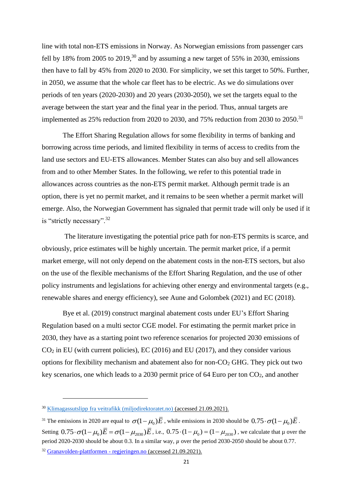line with total non-ETS emissions in Norway. As Norwegian emissions from passenger cars fell by 18% from 2005 to 2019,<sup>30</sup> and by assuming a new target of 55% in 2030, emissions then have to fall by 45% from 2020 to 2030. For simplicity, we set this target to 50%. Further, in 2050, we assume that the whole car fleet has to be electric. As we do simulations over periods of ten years (2020-2030) and 20 years (2030-2050), we set the targets equal to the average between the start year and the final year in the period. Thus, annual targets are implemented as  $25\%$  reduction from 2020 to 2030, and 75% reduction from 2030 to 2050.<sup>31</sup>

The Effort Sharing Regulation allows for some flexibility in terms of banking and borrowing across time periods, and limited flexibility in terms of access to credits from the land use sectors and EU-ETS allowances. Member States can also buy and sell allowances from and to other Member States. In the following, we refer to this potential trade in allowances across countries as the non-ETS permit market. Although permit trade is an option, there is yet no permit market, and it remains to be seen whether a permit market will emerge. Also, the Norwegian Government has signaled that permit trade will only be used if it is "strictly necessary".<sup>32</sup>

The literature investigating the potential price path for non-ETS permits is scarce, and obviously, price estimates will be highly uncertain. The permit market price, if a permit market emerge, will not only depend on the abatement costs in the non-ETS sectors, but also on the use of the flexible mechanisms of the Effort Sharing Regulation, and the use of other policy instruments and legislations for achieving other energy and environmental targets (e.g., renewable shares and energy efficiency), see Aune and Golombek (2021) and EC (2018).

Bye et al. (2019) construct marginal abatement costs under EU's Effort Sharing Regulation based on a multi sector CGE model. For estimating the permit market price in 2030, they have as a starting point two reference scenarios for projected 2030 emissions of  $CO<sub>2</sub>$  in EU (with current policies), EC (2016) and EU (2017), and they consider various options for flexibility mechanism and abatement also for non- $CO<sub>2</sub>$  GHG. They pick out two key scenarios, one which leads to a 2030 permit price of 64 Euro per ton CO2, and another

<sup>30</sup> [Klimagassutslipp fra veitrafikk \(miljodirektoratet.no\)](https://miljostatus.miljodirektoratet.no/tema/klima/norske-utslipp-av-klimagasser/klimagassutslipp-fra-veitrafikk/) (accessed 21.09.2021).

<sup>&</sup>lt;sup>31</sup> The emissions in 2020 are equal to  $\sigma(1-\mu_0)\bar{E}$  , while emissions in 2030 should be  $0.75 \cdot \sigma(1-\mu_0)\bar{E}$ . Setting  $0.75 \cdot \sigma (1 - \mu_0) \overline{E} = \sigma (1 - \mu_{2030}) \overline{E}$ , i.e.,  $0.75 \cdot (1 - \mu_0) = (1 - \mu_{2030})$ , we calculate that  $\mu$  over the period 2020-2030 should be about 0.3. In a similar way, *µ* over the period 2030-2050 should be about 0.77. <sup>32</sup> [Granavolden-plattformen -](https://www.regjeringen.no/no/dokumenter/politisk-plattform/id2626036/#klima) regjeringen.no (accessed 21.09.2021).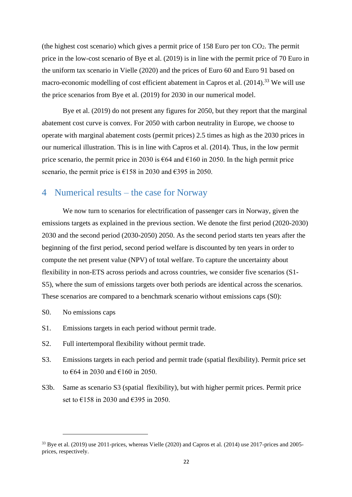(the highest cost scenario) which gives a permit price of  $158$  Euro per ton  $CO<sub>2</sub>$ . The permit price in the low-cost scenario of Bye et al. (2019) is in line with the permit price of 70 Euro in the uniform tax scenario in Vielle (2020) and the prices of Euro 60 and Euro 91 based on macro-economic modelling of cost efficient abatement in Capros et al.  $(2014)$ <sup>33</sup> We will use the price scenarios from Bye et al. (2019) for 2030 in our numerical model.

Bye et al. (2019) do not present any figures for 2050, but they report that the marginal abatement cost curve is convex. For 2050 with carbon neutrality in Europe, we choose to operate with marginal abatement costs (permit prices) 2.5 times as high as the 2030 prices in our numerical illustration. This is in line with Capros et al. (2014). Thus, in the low permit price scenario, the permit price in 2030 is  $\epsilon$ 64 and  $\epsilon$ 160 in 2050. In the high permit price scenario, the permit price is  $\epsilon$ 158 in 2030 and  $\epsilon$ 395 in 2050.

### 4 Numerical results – the case for Norway

We now turn to scenarios for electrification of passenger cars in Norway, given the emissions targets as explained in the previous section. We denote the first period (2020-2030) 2030 and the second period (2030-2050) 2050. As the second period starts ten years after the beginning of the first period, second period welfare is discounted by ten years in order to compute the net present value (NPV) of total welfare. To capture the uncertainty about flexibility in non-ETS across periods and across countries, we consider five scenarios (S1- S5), where the sum of emissions targets over both periods are identical across the scenarios. These scenarios are compared to a benchmark scenario without emissions caps (S0):

- S0. No emissions caps
- S1. Emissions targets in each period without permit trade.
- S2. Full intertemporal flexibility without permit trade.
- S3. Emissions targets in each period and permit trade (spatial flexibility). Permit price set to €64 in 2030 and €160 in 2050.
- S3b. Same as scenario S3 (spatial flexibility), but with higher permit prices. Permit price set to €158 in 2030 and €395 in 2050.

<sup>&</sup>lt;sup>33</sup> Bye et al. (2019) use 2011-prices, whereas Vielle (2020) and Capros et al. (2014) use 2017-prices and 2005prices, respectively.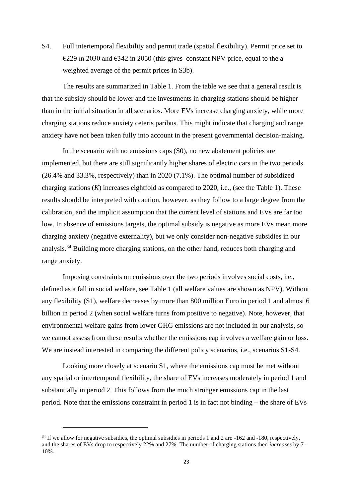S4. Full intertemporal flexibility and permit trade (spatial flexibility). Permit price set to  $\epsilon$ 229 in 2030 and  $\epsilon$ 342 in 2050 (this gives constant NPV price, equal to the a weighted average of the permit prices in S3b).

The results are summarized in Table 1. From the table we see that a general result is that the subsidy should be lower and the investments in charging stations should be higher than in the initial situation in all scenarios. More EVs increase charging anxiety, while more charging stations reduce anxiety ceteris paribus. This might indicate that charging and range anxiety have not been taken fully into account in the present governmental decision-making.

In the scenario with no emissions caps (S0), no new abatement policies are implemented, but there are still significantly higher shares of electric cars in the two periods (26.4% and 33.3%, respectively) than in 2020 (7.1%). The optimal number of subsidized charging stations (*K*) increases eightfold as compared to 2020, i.e., (see the Table 1). These results should be interpreted with caution, however, as they follow to a large degree from the calibration, and the implicit assumption that the current level of stations and EVs are far too low. In absence of emissions targets, the optimal subsidy is negative as more EVs mean more charging anxiety (negative externality), but we only consider non-negative subsidies in our analysis.<sup>34</sup> Building more charging stations, on the other hand, reduces both charging and range anxiety.

Imposing constraints on emissions over the two periods involves social costs, i.e., defined as a fall in social welfare, see Table 1 (all welfare values are shown as NPV). Without any flexibility (S1), welfare decreases by more than 800 million Euro in period 1 and almost 6 billion in period 2 (when social welfare turns from positive to negative). Note, however, that environmental welfare gains from lower GHG emissions are not included in our analysis, so we cannot assess from these results whether the emissions cap involves a welfare gain or loss. We are instead interested in comparing the different policy scenarios, i.e., scenarios S1-S4.

Looking more closely at scenario S1, where the emissions cap must be met without any spatial or intertemporal flexibility, the share of EVs increases moderately in period 1 and substantially in period 2. This follows from the much stronger emissions cap in the last period. Note that the emissions constraint in period 1 is in fact not binding – the share of EVs

 $34$  If we allow for negative subsidies, the optimal subsidies in periods 1 and 2 are  $-162$  and  $-180$ , respectively, and the shares of EVs drop to respectively 22% and 27%. The number of charging stations then *increases* by 7- 10%.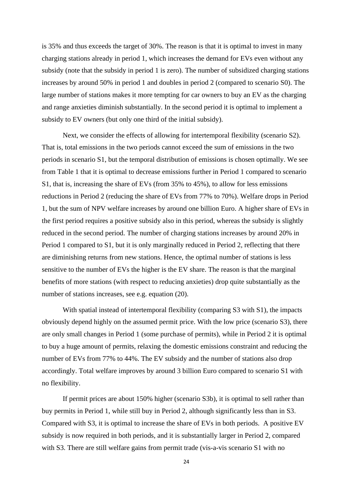is 35% and thus exceeds the target of 30%. The reason is that it is optimal to invest in many charging stations already in period 1, which increases the demand for EVs even without any subsidy (note that the subsidy in period 1 is zero). The number of subsidized charging stations increases by around 50% in period 1 and doubles in period 2 (compared to scenario S0). The large number of stations makes it more tempting for car owners to buy an EV as the charging and range anxieties diminish substantially. In the second period it is optimal to implement a subsidy to EV owners (but only one third of the initial subsidy).

Next, we consider the effects of allowing for intertemporal flexibility (scenario S2). That is, total emissions in the two periods cannot exceed the sum of emissions in the two periods in scenario S1, but the temporal distribution of emissions is chosen optimally. We see from Table 1 that it is optimal to decrease emissions further in Period 1 compared to scenario S1, that is, increasing the share of EVs (from 35% to 45%), to allow for less emissions reductions in Period 2 (reducing the share of EVs from 77% to 70%). Welfare drops in Period 1, but the sum of NPV welfare increases by around one billion Euro. A higher share of EVs in the first period requires a positive subsidy also in this period, whereas the subsidy is slightly reduced in the second period. The number of charging stations increases by around 20% in Period 1 compared to S1, but it is only marginally reduced in Period 2, reflecting that there are diminishing returns from new stations. Hence, the optimal number of stations is less sensitive to the number of EVs the higher is the EV share. The reason is that the marginal benefits of more stations (with respect to reducing anxieties) drop quite substantially as the number of stations increases, see e.g. equation (20).

With spatial instead of intertemporal flexibility (comparing S3 with S1), the impacts obviously depend highly on the assumed permit price. With the low price (scenario S3), there are only small changes in Period 1 (some purchase of permits), while in Period 2 it is optimal to buy a huge amount of permits, relaxing the domestic emissions constraint and reducing the number of EVs from 77% to 44%. The EV subsidy and the number of stations also drop accordingly. Total welfare improves by around 3 billion Euro compared to scenario S1 with no flexibility.

If permit prices are about 150% higher (scenario S3b), it is optimal to sell rather than buy permits in Period 1, while still buy in Period 2, although significantly less than in S3. Compared with S3, it is optimal to increase the share of EVs in both periods. A positive EV subsidy is now required in both periods, and it is substantially larger in Period 2, compared with S3. There are still welfare gains from permit trade (vis-a-vis scenario S1 with no

24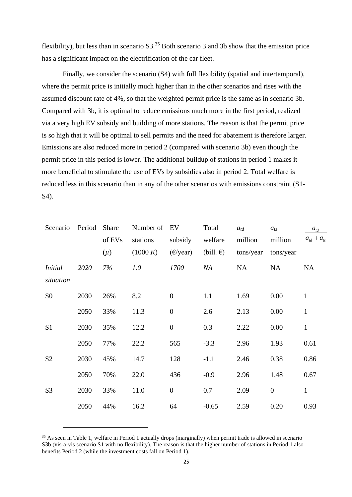flexibility), but less than in scenario  $S3<sup>35</sup>$  Both scenario 3 and 3b show that the emission price has a significant impact on the electrification of the car fleet.

Finally, we consider the scenario (S4) with full flexibility (spatial and intertemporal), where the permit price is initially much higher than in the other scenarios and rises with the assumed discount rate of 4%, so that the weighted permit price is the same as in scenario 3b. Compared with 3b, it is optimal to reduce emissions much more in the first period, realized via a very high EV subsidy and building of more stations. The reason is that the permit price is so high that it will be optimal to sell permits and the need for abatement is therefore larger. Emissions are also reduced more in period 2 (compared with scenario 3b) even though the permit price in this period is lower. The additional buildup of stations in period 1 makes it more beneficial to stimulate the use of EVs by subsidies also in period 2. Total welfare is reduced less in this scenario than in any of the other scenarios with emissions constraint (S1- S4).

| Scenario       | Period | Share   | Number of EV |                    | Total              | $a_{td}$  | $a_{ts}$         | $\boldsymbol{a}_{\boldsymbol{td}}$ |
|----------------|--------|---------|--------------|--------------------|--------------------|-----------|------------------|------------------------------------|
|                |        | of EVs  | stations     | subsidy            | welfare            | million   | million          | $a_{td} + a_{ts}$                  |
|                |        | $(\mu)$ | (1000 K)     | $(\epsilon$ /year) | $(bill. \epsilon)$ | tons/year | tons/year        |                                    |
| <i>Initial</i> | 2020   | 7%      | 1.0          | 1700               | NA                 | <b>NA</b> | <b>NA</b>        | NA                                 |
| situation      |        |         |              |                    |                    |           |                  |                                    |
| S <sub>0</sub> | 2030   | 26%     | 8.2          | $\boldsymbol{0}$   | 1.1                | 1.69      | 0.00             | $\mathbf{1}$                       |
|                | 2050   | 33%     | 11.3         | $\boldsymbol{0}$   | 2.6                | 2.13      | 0.00             | $\mathbf{1}$                       |
| S1             | 2030   | 35%     | 12.2         | $\boldsymbol{0}$   | 0.3                | 2.22      | 0.00             | $\mathbf{1}$                       |
|                | 2050   | 77%     | 22.2         | 565                | $-3.3$             | 2.96      | 1.93             | 0.61                               |
| S <sub>2</sub> | 2030   | 45%     | 14.7         | 128                | $-1.1$             | 2.46      | 0.38             | 0.86                               |
|                | 2050   | 70%     | 22.0         | 436                | $-0.9$             | 2.96      | 1.48             | 0.67                               |
| S <sub>3</sub> | 2030   | 33%     | 11.0         | $\overline{0}$     | 0.7                | 2.09      | $\boldsymbol{0}$ | $\mathbf{1}$                       |
|                | 2050   | 44%     | 16.2         | 64                 | $-0.65$            | 2.59      | 0.20             | 0.93                               |

<sup>&</sup>lt;sup>35</sup> As seen in Table 1, welfare in Period 1 actually drops (marginally) when permit trade is allowed in scenario S3b (vis-a-vis scenario S1 with no flexibility). The reason is that the higher number of stations in Period 1 also benefits Period 2 (while the investment costs fall on Period 1).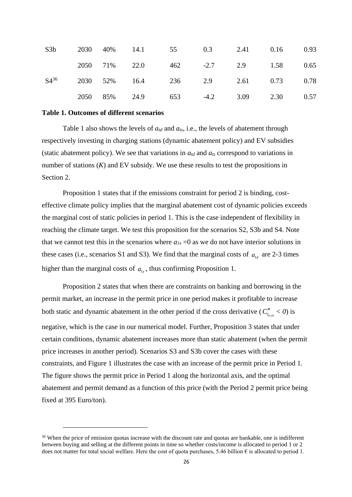| S3b       |  | 2030 40% 14.1 55 0.3 2.41 0.16 0.93   |  |  |  |
|-----------|--|---------------------------------------|--|--|--|
|           |  | 2050 71% 22.0 462 -2.7 2.9 1.58 0.65  |  |  |  |
| $S4^{36}$ |  | 2030 52% 16.4 236 2.9 2.61 0.73 0.78  |  |  |  |
|           |  | 2050 85% 24.9 653 -4.2 3.09 2.30 0.57 |  |  |  |

#### **Table 1. Outcomes of different scenarios**

Table 1 also shows the levels of  $a_{td}$  and  $a_{ts}$ , i.e., the levels of abatement through respectively investing in charging stations (dynamic abatement policy) and EV subsidies (static abatement policy). We see that variations in  $a_{td}$  and  $a_{ts}$  correspond to variations in number of stations (*K*) and EV subsidy. We use these results to test the propositions in Section 2.

Proposition 1 states that if the emissions constraint for period 2 is binding, costeffective climate policy implies that the marginal abatement cost of dynamic policies exceeds the marginal cost of static policies in period 1. This is the case independent of flexibility in reaching the climate target. We test this proposition for the scenarios S2, S3b and S4. Note that we cannot test this in the scenarios where  $a_{1s} = 0$  as we do not have interior solutions in these cases (i.e., scenarios S1 and S3). We find that the marginal costs of  $a_{1d}$  are 2-3 times higher than the marginal costs of  $a_{1s}$ , thus confirming Proposition 1.

Proposition 2 states that when there are constraints on banking and borrowing in the permit market, an increase in the permit price in one period makes it profitable to increase both static and dynamic abatement in the other period if the cross derivative ( $C_{t_{s,dd}}^{"} < 0$ ) is negative, which is the case in our numerical model. Further, Proposition 3 states that under certain conditions, dynamic abatement increases more than static abatement (when the permit price increases in another period). Scenarios S3 and S3b cover the cases with these constraints, and Figure 1 illustrates the case with an increase of the permit price in Period 1. The figure shows the permit price in Period 1 along the horizontal axis, and the optimal abatement and permit demand as a function of this price (with the Period 2 permit price being fixed at 395 Euro/ton).

<sup>&</sup>lt;sup>36</sup> When the price of emission quotas increase with the discount rate and quotas are bankable, one is indifferent between buying and selling at the different points in time so whether costs/income is allocated to period 1 or 2 does not matter for total social welfare. Here the cost of quota purchases, 5.46 billion  $\epsilon$  is allocated to period 1.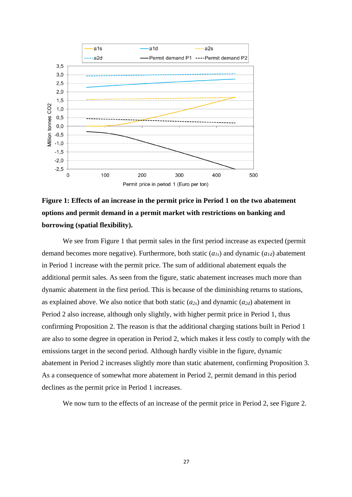

## **Figure 1: Effects of an increase in the permit price in Period 1 on the two abatement options and permit demand in a permit market with restrictions on banking and borrowing (spatial flexibility).**

We see from Figure 1 that permit sales in the first period increase as expected (permit demand becomes more negative). Furthermore, both static (*a1s*) and dynamic (*a1d*) abatement in Period 1 increase with the permit price. The sum of additional abatement equals the additional permit sales. As seen from the figure, static abatement increases much more than dynamic abatement in the first period. This is because of the diminishing returns to stations, as explained above. We also notice that both static  $(a_{2s})$  and dynamic  $(a_{2d})$  abatement in Period 2 also increase, although only slightly, with higher permit price in Period 1, thus confirming Proposition 2. The reason is that the additional charging stations built in Period 1 are also to some degree in operation in Period 2, which makes it less costly to comply with the emissions target in the second period. Although hardly visible in the figure, dynamic abatement in Period 2 increases slightly more than static abatement, confirming Proposition 3. As a consequence of somewhat more abatement in Period 2, permit demand in this period declines as the permit price in Period 1 increases.

We now turn to the effects of an increase of the permit price in Period 2, see Figure 2.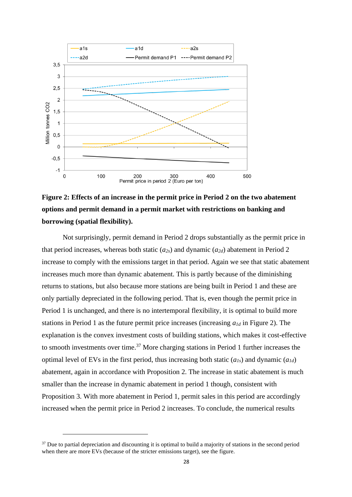

## **Figure 2: Effects of an increase in the permit price in Period 2 on the two abatement options and permit demand in a permit market with restrictions on banking and borrowing (spatial flexibility).**

Not surprisingly, permit demand in Period 2 drops substantially as the permit price in that period increases, whereas both static  $(a_{2s})$  and dynamic  $(a_{2d})$  abatement in Period 2 increase to comply with the emissions target in that period. Again we see that static abatement increases much more than dynamic abatement. This is partly because of the diminishing returns to stations, but also because more stations are being built in Period 1 and these are only partially depreciated in the following period. That is, even though the permit price in Period 1 is unchanged, and there is no intertemporal flexibility, it is optimal to build more stations in Period 1 as the future permit price increases (increasing *a1d* in Figure 2). The explanation is the convex investment costs of building stations, which makes it cost-effective to smooth investments over time.<sup>37</sup> More charging stations in Period 1 further increases the optimal level of EVs in the first period, thus increasing both static  $(a_{1s})$  and dynamic  $(a_{1d})$ abatement, again in accordance with Proposition 2. The increase in static abatement is much smaller than the increase in dynamic abatement in period 1 though, consistent with Proposition 3. With more abatement in Period 1, permit sales in this period are accordingly increased when the permit price in Period 2 increases. To conclude, the numerical results

 $37$  Due to partial depreciation and discounting it is optimal to build a majority of stations in the second period when there are more EVs (because of the stricter emissions target), see the figure.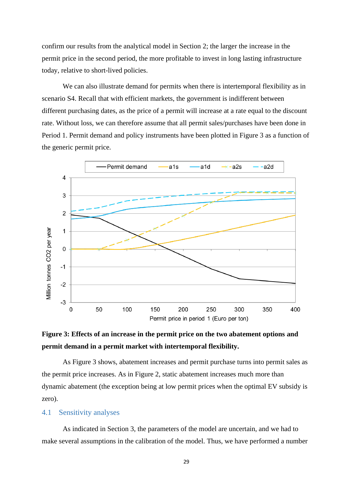confirm our results from the analytical model in Section [2;](#page-6-0) the larger the increase in the permit price in the second period, the more profitable to invest in long lasting infrastructure today, relative to short-lived policies.

We can also illustrate demand for permits when there is intertemporal flexibility as in scenario S4. Recall that with efficient markets, the government is indifferent between different purchasing dates, as the price of a permit will increase at a rate equal to the discount rate. Without loss, we can therefore assume that all permit sales/purchases have been done in Period 1. Permit demand and policy instruments have been plotted in Figure 3 as a function of the generic permit price.



## **Figure 3: Effects of an increase in the permit price on the two abatement options and permit demand in a permit market with intertemporal flexibility.**

As Figure 3 shows, abatement increases and permit purchase turns into permit sales as the permit price increases. As in Figure 2, static abatement increases much more than dynamic abatement (the exception being at low permit prices when the optimal EV subsidy is zero).

#### 4.1 Sensitivity analyses

As indicated in Section 3, the parameters of the model are uncertain, and we had to make several assumptions in the calibration of the model. Thus, we have performed a number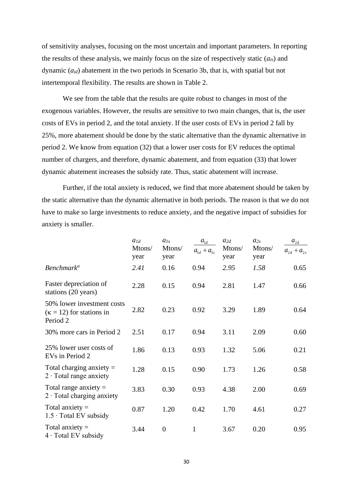of sensitivity analyses, focusing on the most uncertain and important parameters. In reporting the results of these analysis, we mainly focus on the size of respectively static (*ais*) and dynamic (*aid*) abatement in the two periods in Scenario 3b, that is, with spatial but not intertemporal flexibility. The results are shown in Table 2.

We see from the table that the results are quite robust to changes in most of the exogenous variables. However, the results are sensitive to two main changes, that is, the user costs of EVs in period 2, and the total anxiety. If the user costs of EVs in period 2 fall by 25%, more abatement should be done by the static alternative than the dynamic alternative in period 2. We know from equation (32) that a lower user costs for EV reduces the optimal number of chargers, and therefore, dynamic abatement, and from equation (33) that lower dynamic abatement increases the subsidy rate. Thus, static abatement will increase.

Further, if the total anxiety is reduced, we find that more abatement should be taken by the static alternative than the dynamic alternative in both periods. The reason is that we do not have to make so large investments to reduce anxiety, and the negative impact of subsidies for anxiety is smaller.

|                                                                           | $a_{1d}$<br>Mtons/<br>year | $a_{1s}$<br>Mtons/<br>year | $a_{1\underline{d}}$<br>$a_{1d} + a_{1s}$ | $a_{2d}$<br>Mtons/<br>year | $a_{2s}$<br>Mtons/<br>year | $a_{2d}$<br>$a_{2d} + a_{2s}$ |
|---------------------------------------------------------------------------|----------------------------|----------------------------|-------------------------------------------|----------------------------|----------------------------|-------------------------------|
| <b>Benchmark<sup>a</sup></b>                                              | 2.41                       | 0.16                       | 0.94                                      | 2.95                       | 1.58                       | 0.65                          |
| Faster depreciation of<br>stations (20 years)                             | 2.28                       | 0.15                       | 0.94                                      | 2.81                       | 1.47                       | 0.66                          |
| 50% lower investment costs<br>$(\kappa = 12)$ for stations in<br>Period 2 | 2.82                       | 0.23                       | 0.92                                      | 3.29                       | 1.89                       | 0.64                          |
| 30% more cars in Period 2                                                 | 2.51                       | 0.17                       | 0.94                                      | 3.11                       | 2.09                       | 0.60                          |
| 25% lower user costs of<br>EVs in Period 2                                | 1.86                       | 0.13                       | 0.93                                      | 1.32                       | 5.06                       | 0.21                          |
| Total charging anxiety $=$<br>$2 \cdot$ Total range anxiety               | 1.28                       | 0.15                       | 0.90                                      | 1.73                       | 1.26                       | 0.58                          |
| Total range anxiety $=$<br>$2 \cdot$ Total charging anxiety               | 3.83                       | 0.30                       | 0.93                                      | 4.38                       | 2.00                       | 0.69                          |
| Total anxiety $=$<br>$1.5 \cdot$ Total EV subsidy                         | 0.87                       | 1.20                       | 0.42                                      | 1.70                       | 4.61                       | 0.27                          |
| Total anxiety $=$<br>$4 \cdot$ Total EV subsidy                           | 3.44                       | $\boldsymbol{0}$           | 1                                         | 3.67                       | 0.20                       | 0.95                          |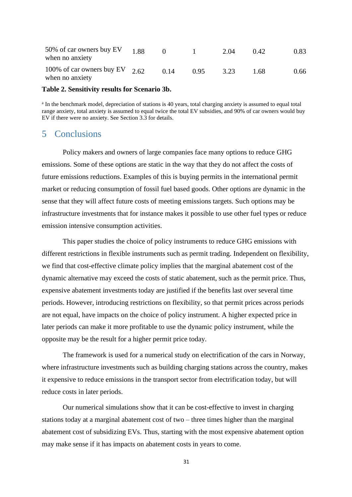| 50% of car owners buy EV<br>when no anxiety         | 1.88 |      |      | 2.04 | (1.42) | 0.83 |
|-----------------------------------------------------|------|------|------|------|--------|------|
| 100% of car owners buy EV $2.62$<br>when no anxiety |      | 0.14 | 0.95 | 3.23 | 1.68   | 0.66 |

#### **Table 2. Sensitivity results for Scenario 3b.**

<sup>a</sup> In the benchmark model, depreciation of stations is 40 years, total charging anxiety is assumed to equal total range anxiety, total anxiety is assumed to equal twice the total EV subsidies, and 90% of car owners would buy EV if there were no anxiety. See Section 3.3 for details.

### 5 Conclusions

Policy makers and owners of large companies face many options to reduce GHG emissions. Some of these options are static in the way that they do not affect the costs of future emissions reductions. Examples of this is buying permits in the international permit market or reducing consumption of fossil fuel based goods. Other options are dynamic in the sense that they will affect future costs of meeting emissions targets. Such options may be infrastructure investments that for instance makes it possible to use other fuel types or reduce emission intensive consumption activities.

This paper studies the choice of policy instruments to reduce GHG emissions with different restrictions in flexible instruments such as permit trading. Independent on flexibility, we find that cost-effective climate policy implies that the marginal abatement cost of the dynamic alternative may exceed the costs of static abatement, such as the permit price. Thus, expensive abatement investments today are justified if the benefits last over several time periods. However, introducing restrictions on flexibility, so that permit prices across periods are not equal, have impacts on the choice of policy instrument. A higher expected price in later periods can make it more profitable to use the dynamic policy instrument, while the opposite may be the result for a higher permit price today.

The framework is used for a numerical study on electrification of the cars in Norway, where infrastructure investments such as building charging stations across the country, makes it expensive to reduce emissions in the transport sector from electrification today, but will reduce costs in later periods.

Our numerical simulations show that it can be cost-effective to invest in charging stations today at a marginal abatement cost of two – three times higher than the marginal abatement cost of subsidizing EVs. Thus, starting with the most expensive abatement option may make sense if it has impacts on abatement costs in years to come.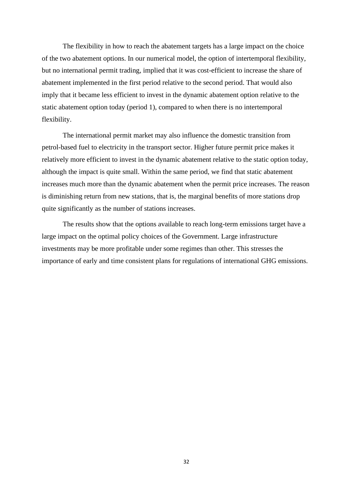The flexibility in how to reach the abatement targets has a large impact on the choice of the two abatement options. In our numerical model, the option of intertemporal flexibility, but no international permit trading, implied that it was cost-efficient to increase the share of abatement implemented in the first period relative to the second period. That would also imply that it became less efficient to invest in the dynamic abatement option relative to the static abatement option today (period 1), compared to when there is no intertemporal flexibility.

The international permit market may also influence the domestic transition from petrol-based fuel to electricity in the transport sector. Higher future permit price makes it relatively more efficient to invest in the dynamic abatement relative to the static option today, although the impact is quite small. Within the same period, we find that static abatement increases much more than the dynamic abatement when the permit price increases. The reason is diminishing return from new stations, that is, the marginal benefits of more stations drop quite significantly as the number of stations increases.

The results show that the options available to reach long-term emissions target have a large impact on the optimal policy choices of the Government. Large infrastructure investments may be more profitable under some regimes than other. This stresses the importance of early and time consistent plans for regulations of international GHG emissions.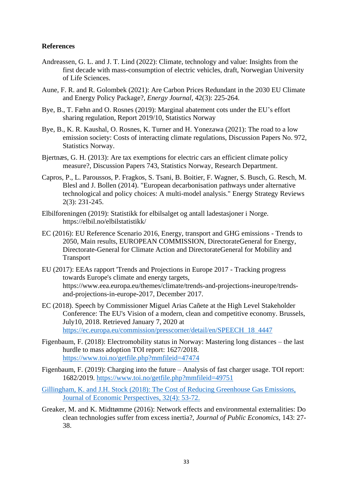#### **References**

- Andreassen, G. L. and J. T. Lind (2022): Climate, technology and value: Insights from the first decade with mass-consumption of electric vehicles, draft, Norwegian University of Life Sciences.
- Aune, F. R. and R. Golombek (2021): Are Carbon Prices Redundant in the 2030 EU Climate and Energy Policy Package?, *Energy Journal*, 42(3): 225-264.
- Bye, B., T. Fæhn and O. Rosnes (2019): Marginal abatement cots under the EU's effort sharing regulation, Report 2019/10, Statistics Norway
- Bye, B., K. R. Kaushal, O. Rosnes, K. Turner and H. Yonezawa (2021): The road to a low emission society: Costs of interacting climate regulations, Discussion Papers No. 972, Statistics Norway.
- Bjertnæs, G. H. (2013): Are tax exemptions for electric cars an efficient climate policy measure?, Discussion Papers 743, Statistics Norway, Research Department.
- Capros, P., L. Paroussos, P. Fragkos, S. Tsani, B. Boitier, F. Wagner, S. Busch, G. Resch, M. Blesl and J. Bollen (2014). "European decarbonisation pathways under alternative technological and policy choices: A multi-model analysis." Energy Strategy Reviews 2(3): 231-245.
- Elbilforeningen (2019): Statistikk for elbilsalget og antall ladestasjoner i Norge. https://elbil.no/elbilstatistikk/
- EC (2016): EU Reference Scenario 2016, Energy, transport and GHG emissions Trends to 2050, Main results, EUROPEAN COMMISSION, DirectorateGeneral for Energy, Directorate-General for Climate Action and DirectorateGeneral for Mobility and Transport
- EU (2017): EEAs rapport 'Trends and Projections in Europe 2017 Tracking progress towards Europe's climate and energy targets, https://www.eea.europa.eu/themes/climate/trends-and-projections-ineurope/trendsand-projections-in-europe-2017, December 2017.
- EC (2018). Speech by Commissioner Miguel Arias Cañete at the High Level Stakeholder Conference: The EU's Vision of a modern, clean and competitive economy. Brussels, July10, 2018. Retrieved January 7, 2020 at [https://ec.europa.eu/commission/presscorner/detail/en/SPEECH\\_18\\_4447](https://ec.europa.eu/commission/presscorner/detail/en/SPEECH_18_4447)
- Figenbaum, F. (2018): Electromobility status in Norway: Mastering long distances the last hurdle to mass adoption TOI report: 1627/2018. <https://www.toi.no/getfile.php?mmfileid=47474>
- Figenbaum, F. (2019): Charging into the future Analysis of fast charger usage. TOI report: 1682/2019.<https://www.toi.no/getfile.php?mmfileid=49751>
- Gillingham, K. and J.H. Stock (2018): The Cost of Reducing Greenhouse Gas Emissions, Journal of Economic Perspectives, 32(4): 53-72.
- Greaker, M. and K. Midttømme (2016): Network effects and environmental externalities: Do clean technologies suffer from excess inertia?, *Journal of Public Economics*, 143: 27- 38.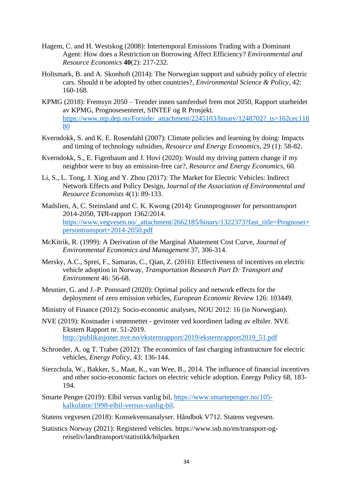- Hagem, C. and H. Westskog (2008): Intertemporal Emissions Trading with a Dominant Agent: How does a Restriction on Borrowing Affect Efficiency? *Environmental and Resource Economics* **40**(2): 217-232.
- Holtsmark, B. and A. Skonhoft (2014): The Norwegian support and subsidy policy of electric cars. Should it be adopted by other countries?, *Environmental Science & Policy*, 42: 160-168.
- KPMG (2018): Fremsyn 2050 Trender innen samferdsel frem mot 2050, Rapport utarbeidet av KPMG, Prognosesenteret, SINTEF og R Prosjekt. [https://www.ntp.dep.no/Forside/\\_attachment/2245103/binary/1248702?\\_ts=162cec118](https://www.ntp.dep.no/Forside/_attachment/2245103/binary/1248702?_ts=162cec11880) [80](https://www.ntp.dep.no/Forside/_attachment/2245103/binary/1248702?_ts=162cec11880)
- Kverndokk, S. and K. E. Rosendahl (2007): Climate policies and learning by doing: Impacts and timing of technology subsidies, *Resource and Energy Economics*, 29 (1): 58-82.
- Kverndokk, S., E. Figenbaum and J. Hovi (2020): Would my driving pattern change if my neighbor were to buy an emission-free car?, *Resource and Energy Economics*, 60.
- Li, S., L. Tong, J. Xing and Y. Zhou (2017): The Market for Electric Vehicles: Indirect Network Effects and Policy Design, J*ournal of the Association of Environmental and Resource Economists* 4(1): 89-133.
- Madslien, A, C. Steinsland and C. K. Kwong (2014): Grunnprognoser for persontransport 2014-2050, TØI-rapport 1362/2014. [https://www.vegvesen.no/\\_attachment/2662185/binary/1322373?fast\\_title=Prognoser+](https://www.vegvesen.no/_attachment/2662185/binary/1322373?fast_title=Prognoser+persontransport+2014-2050.pdf) [persontransport+2014-2050.pdf](https://www.vegvesen.no/_attachment/2662185/binary/1322373?fast_title=Prognoser+persontransport+2014-2050.pdf)
- McKitrik, R. (1999): A Derivation of the Marginal Abatement Cost Curve, *Journal of Environmental Economics and Management* 37, 306-314.
- Mersky, A.C., Sprei, F., Samaras, C., Qian, Z. (2016): Effectiveness of incentives on electric vehicle adoption in Norway, *Transportation Research Part D: Transport and Environment* 46: 56-68.
- Meunier, G. and J.-P. Ponssard (2020): Optimal policy and network effects for the deployment of zero emission vehicles, *European Economic Review* 126: 103449.
- Ministry of Finance (2012): Socio-economic analyses, NOU 2012: 16 (in Norwegian).
- NVE (2019): Kostnader i strømnettet gevinster ved koordinert lading av elbiler. NVE Ekstern Rapport nr. 51-2019. [http://publikasjoner.nve.no/eksternrapport/2019/eksternrapport2019\\_51.pdf](http://publikasjoner.nve.no/eksternrapport/2019/eksternrapport2019_51.pdf)
- Schroeder, A. og T. Traber (2012): The economics of fast charging infrastructure for electric vehicles, *Energy Policy*, 43: 136-144.
- Sierzchula, W., Bakker, S., Maat, K., van Wee, B., 2014. The influence of financial incentives and other socio-economic factors on electric vehicle adoption. Energy Policy 68, 183- 194.
- Smarte Penger (2019): Elbil versus vanlig bil, [https://www.smartepenger.no/105](https://www.smartepenger.no/105-kalkulator/1998-elbil-versus-vanlig-bil) [kalkulator/1998-elbil-versus-vanlig-bil.](https://www.smartepenger.no/105-kalkulator/1998-elbil-versus-vanlig-bil)
- Statens vegvesen (2018): Konsekvensanalyser. Håndbok V712. Statens vegvesen.
- Statistics Norway (2021): Registered vehicles. https://www.ssb.no/en/transport-ogreiseliv/landtransport/statistikk/bilparken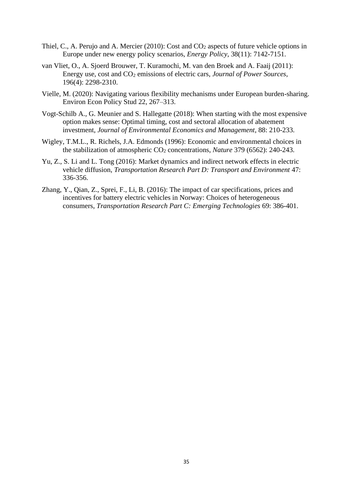- Thiel, C., A. Perujo and A. Mercier (2010): Cost and CO<sub>2</sub> aspects of future vehicle options in Europe under new energy policy scenarios, *Energy Policy*, 38(11): 7142-7151.
- van Vliet, O., A. Sjoerd Brouwer, T. Kuramochi, M. van den Broek and A. Faaij (2011): Energy use, cost and CO<sup>2</sup> emissions of electric cars, *Journal of Power Sources*, 196(4): 2298-2310.
- Vielle, M. (2020): Navigating various flexibility mechanisms under European burden-sharing. Environ Econ Policy Stud 22, 267–313.
- Vogt-Schilb A., G. Meunier and S. Hallegatte (2018): When starting with the most expensive option makes sense: Optimal timing, cost and sectoral allocation of abatement investment, *Journal of Environmental Economics and Management*, 88: 210-233.
- Wigley, T.M.L., R. Richels, J.A. Edmonds (1996): Economic and environmental choices in the stabilization of atmospheric CO<sup>2</sup> concentrations, *Nature* 379 (6562): 240-243.
- Yu, Z., S. Li and L. Tong (2016): Market dynamics and indirect network effects in electric vehicle diffusion, *Transportation Research Part D: Transport and Environment* 47: 336-356.
- Zhang, Y., Qian, Z., Sprei, F., Li, B. (2016): The impact of car specifications, prices and incentives for battery electric vehicles in Norway: Choices of heterogeneous consumers, *Transportation Research Part C: Emerging Technologies* 69: 386-401.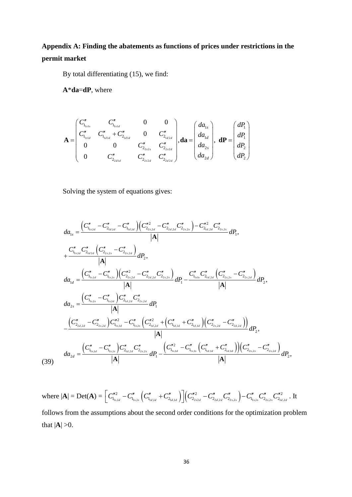## **Appendix A: Finding the abatements as functions of prices under restrictions in the permit market**

By total differentiating (15), we find:

**A**\***da**=**dP**, where

$$
\mathbf{A} = \begin{pmatrix} C''_{1_{1_{s1s}}} & C''_{1_{1_{s1d}}} & 0 & 0 \\ C''_{1_{1_{s1d}}} & C''_{1_{1_{d1d}}} + C''_{2_{1_{d1d}}} & 0 & C''_{2_{1_{d2d}}} \\ 0 & 0 & C''_{2_{2_{s2s}}} & C''_{2_{2_{s2d}}} \\ 0 & C''_{2_{2_{d1d}}} & C''_{2_{2_{s2d}}} & C''_{2_{2_{d2d}}} \end{pmatrix}, \mathbf{da} = \begin{pmatrix} da_{1s} \\ da_{1d} \\ da_{2s} \\ da_{2s} \\ da_{2d} \end{pmatrix}, \mathbf{dP} = \begin{pmatrix} dP_1 \\ dP_1 \\ dP_2 \\ dP_2 \end{pmatrix}
$$

Solving the system of equations gives:

$$
da_{1s} = \frac{\left(C_{1_{1s,1d}}^{''} - C_{2_{1d,3d}}^{''} - C_{1_{1d,1d}}^{''}\right)\left(C_{2_{2s,2d}}^{''} - C_{2_{2d,2d}}^{''} C_{2_{2s,2s}}^{''}\right) - C_{2_{1d,2d}}^{''} C_{2_{2s,2s}}^{''}}{|\mathbf{A}|} dP_{1},
$$
\n
$$
+ \frac{C_{1_{1s,1d}}^{''} C_{2_{1d,2d}}^{''} \left(C_{2_{2s,2s}}^{''} - C_{2_{2s,2d}}^{''}\right)}{|\mathbf{A}|} dP_{2},
$$
\n
$$
da_{1d} = \frac{\left(C_{1_{1s,1d}}^{''} - C_{1_{1s,1s}}^{''}\right)\left(C_{2_{2s,2d}}^{''} - C_{2_{2d,2d}}^{''} C_{2_{2s,2s}}^{''}\right)}{|\mathbf{A}|} dP_{1} - \frac{C_{1_{1s,1s}}^{''} C_{2_{1d,2d}}^{''} \left(C_{2_{2s,2s}}^{''} - C_{2_{2s,2d}}^{''}\right)}{|\mathbf{A}|} dP_{2},
$$
\n
$$
da_{2s} = \frac{\left(C_{1_{1s,1s}}^{''} - C_{1_{1s,1d}}^{''}\right) C_{2_{1d,2d}}^{''} C_{2_{2s,2d}}^{''}}{|\mathbf{A}|} dP_{1}
$$
\n
$$
- \frac{\left(C_{2_{2d,2d}}^{''} - C_{2_{2s,2d}}^{''}\right) C_{1_{1s,1d}}^{''} - C_{1_{1s,1s}}^{''} \left(C_{2_{1d,2d}}^{''} + \left(C_{1_{1d,1d}}^{''} + C_{2_{1d,1d}}^{''}\right)\right)\left(C_{2_{2s,2d}}^{''} - C_{2_{2d,2d}}^{''}\right)}{|\mathbf{A}|} dP_{2},
$$
\n
$$
da_{2d} = \frac{\left(C_{1_{1s,1d}}^{''} - C_{1_{1s,1s}}^{''}\right) C_{2_{1d,2d}}^{''} C_{2_{2s,2s}}^{''}}{|\mathbf{A}|} dP_{1} - \frac{\left(C_{1_{1s,1d}}^{''} - C_{1
$$

(39)

where  $|\mathbf{A}| = \mathrm{Det}(\mathbf{A}) = \left[ C''^2_{\mathrm{I}_{1s,1d}} - C''_{\mathrm{I}_{1s,1s}} \left( C''^{\mathbf{I}}_{\mathrm{I}_{1d,1d}} + C''_{\mathrm{2}_{1d,1d}} \right) \right] \left( C''^2_{\mathrm{2}_{2s2d}} - C''_{\mathrm{2}_{2}_{2,d2d}} C''^{\mathbf{I}}_{\mathrm{2}_{2}_{2s,2s}} \right) - C''^{\mathbf{I}}_{\mathrm{I}_{1s,1s}} C''^{\mathbf{I}}_{\mathrm{2}_{2}_{2,s,2s}} C''^2_{\mathrm{2}_{1$  $\begin{bmatrix} 2 & -C'' & (C'' & +C'' & ) \ (C'' & +C'' & ) \end{bmatrix}$  $\Bigl[C_{1_{s,s,l_d}}^{\prime\prime2} - C_{1_{s,s,l_s}}^{\prime\prime}\Bigl(C_{1_{l_d,l_d}}^{\prime\prime} + C_{2_{l_d,l_d}}^{\prime\prime}\Bigr)\Bigr]\Bigl(C_{2_{2s2d}}^{\prime\prime2} - C_{2_{2d,2d}}^{\prime\prime}C_{2_{2s,2s}}^{\prime\prime}\Bigr) - C_{1_{l_s,l_s}}^{\prime\prime}C_{2_{2s,2s}}^{\prime\prime}C_{2_{1d,2d}}^{\prime\prime2} \Bigr. \, . \, \, \mathrm{It}$ follows from the assumptions about the second order conditions for the optimization problem that  $|A| > 0$ .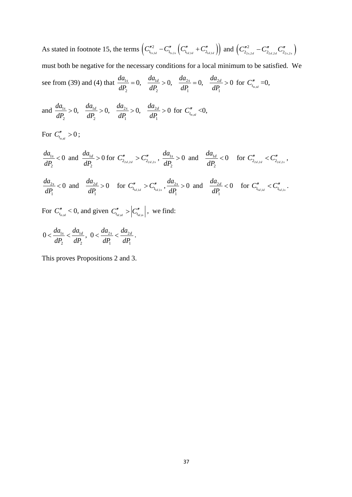As stated in footnote [15,](#page-9-0) the terms  $(C_{1_{1s,1d}}''^2 - C_{1_{1s,1d}}''(C_{1_{1d,1d}}'' + C_{2_{1d,1d}}'')$  and  $(C_{2_{2s,2d}}'' - C_{2_{2d,2d}}''(C_{2_{2s,2s}}'')$ must both be negative for the necessary conditions for a local minimum to be satisfied. We see from (39) and (4) that  $\frac{da_{1s}}{dt} = 0$ ,  $\frac{da_{1d}}{dt} > 0$ ,  $\frac{da_{2s}}{dt} = 0$ ,  $\frac{da_{2s}}{dt}$  $\frac{1}{2}$  - 0,  $\frac{dP_2}{dP_2}$  - 0,  $\frac{dP_1}{dP_1}$  - 0,  $\frac{dP_1}{dP_1}$ the necessary conditions for a local minimident<br>  $\frac{da_{1s}}{dP} = 0$ ,  $\frac{da_{1d}}{dP} > 0$ ,  $\frac{da_{2s}}{dP} = 0$ ,  $\frac{da_{2d}}{dP} > 0$  $\frac{da_{1s}}{dP_2} = 0$ ,  $\frac{da_{1d}}{dP_2} > 0$ ,  $\frac{da_{2s}}{dP_1} = 0$ ,  $\frac{da_{2s}}{dP_1}$  $= 0, \frac{da_{1d}}{dP} > 0, \frac{da_{2s}}{dP} = 0, \frac{da_{2d}}{dP} > 0 \text{ for } C_{t_{s,dd}}'' = 0,$ 

and 
$$
\frac{da_{1s}}{dP_2} > 0
$$
,  $\frac{da_{1d}}{dP_2} > 0$ ,  $\frac{da_{2s}}{dP_1} > 0$ ,  $\frac{da_{2d}}{dP_1} > 0$  for  $C_{t_{ts,d}}'' < 0$ ,

For  $C''_{t_{ts,td}} > 0$ ;

$$
\frac{da_{1s}}{dP_2} < 0 \text{ and } \frac{da_{1d}}{dP_2} > 0 \text{ for } C''_{2_{2d,2d}} > C''_{2_{2d,2s}}, \frac{da_{1s}}{dP_2} > 0 \text{ and } \frac{da_{1d}}{dP_2} < 0 \text{ for } C''_{2_{2d,2d}} < C''_{2_{2d,2s}},
$$
\n
$$
\frac{da_{2s}}{dP_1} < 0 \text{ and } \frac{da_{2d}}{dP_1} > 0 \text{ for } C''_{1_{1d,1d}} > C''_{1_{1d,1s}}, \frac{da_{2s}}{dP_1} > 0 \text{ and } \frac{da_{2d}}{dP_1} < 0 \text{ for } C''_{1_{1d,1d}} < C''_{1_{1d,1s}}.
$$

For  $C''_{t_{\text{tot,tot}}} < 0$ , and given  $C''_{t_{\text{tot,tot}}} > |C''_{t_{\text{tot,ts}}} |$ , we find:

$$
0 < \frac{da_{1s}}{dP_2} < \frac{da_{1d}}{dP_2}, \ \ 0 < \frac{da_{2s}}{dP_1} < \frac{da_{2d}}{dP_1}.
$$

This proves Propositions 2 and 3.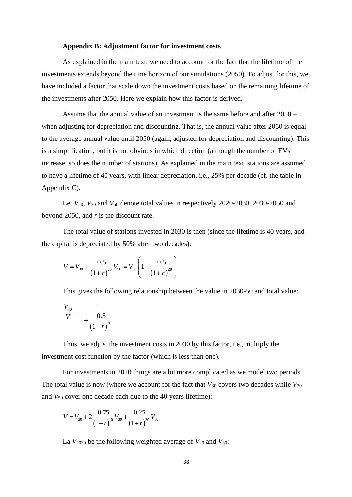#### **Appendix B: Adjustment factor for investment costs**

As explained in the main text, we need to account for the fact that the lifetime of the investments extends beyond the time horizon of our simulations (2050). To adjust for this, we have included a factor that scale down the investment costs based on the remaining lifetime of the investments after 2050. Here we explain how this factor is derived.

Assume that the annual value of an investment is the same before and after 2050 – when adjusting for depreciation and discounting. That is, the annual value after 2050 is equal to the average annual value until 2050 (again, adjusted for depreciation and discounting). This is a simplification, but it is not obvious in which direction (although the number of EVs increase, so does the number of stations). As explained in the main text, stations are assumed to have a lifetime of 40 years, with linear depreciation, i.e., 25% per decade (cf. the table in Appendix C).

Let *V*20, *V*<sup>30</sup> and *V*<sup>50</sup> denote total values in respectively 2020-2030, 2030-2050 and beyond 2050, and *r* is the discount rate.

The total value of stations invested in 2030 is then (since the lifetime is 40 years, and the capital is depreciated by 50% after two decades):

$$
V = V_{30} + \frac{0.5}{(1+r)^{20}} V_{50} = V_{30} \left( 1 + \frac{0.5}{(1+r)^{20}} \right)
$$

This gives the following relationship between the value in 2030-50 and total value:

$$
\frac{V_{30}}{V} = \frac{1}{1 + \frac{0.5}{(1 + r)^{20}}}
$$

Thus, we adjust the investment costs in 2030 by this factor, i.e., multiply the investment cost function by the factor (which is less than one).

For investments in 2020 things are a bit more complicated as we model two periods. The total value is now (where we account for the fact that  $V_{30}$  covers two decades while  $V_{20}$ and *V*<sup>50</sup> cover one decade each due to the 40 years lifetime):

$$
V = V_{20} + 2 \frac{0.75}{(1+r)^{10}} V_{30} + \frac{0.25}{(1+r)^{30}} V_{50}
$$

La *V*<sup>2030</sup> be the following weighted average of *V*<sup>20</sup> and *V*30: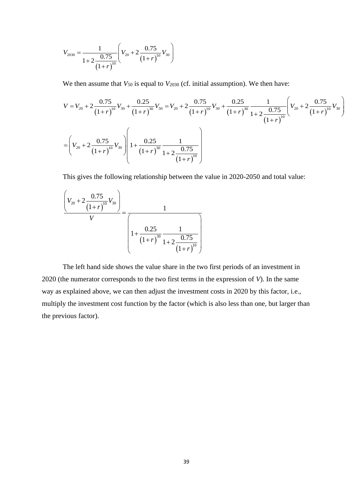$$
V_{2030} = \frac{1}{1+2\frac{0.75}{(1+r)^{10}}} \left( V_{20} + 2\frac{0.75}{(1+r)^{10}} V_{30} \right)
$$

We then assume that  $V_{50}$  is equal to  $V_{2030}$  (cf. initial assumption). We then have:

$$
(1+r)^{10}
$$
\nWe then assume that  $V_{50}$  is equal to  $V_{2030}$  (cf. initial assumption). We then have:\n
$$
V = V_{20} + 2 \frac{0.75}{(1+r)^{10}} V_{30} + \frac{0.25}{(1+r)^{30}} V_{50} = V_{20} + 2 \frac{0.75}{(1+r)^{10}} V_{30} + \frac{0.25}{(1+r)^{30}} \frac{1}{1+2 \frac{0.75}{(1+r)^{10}}} \left( V_{20} + 2 \frac{0.75}{(1+r)^{10}} V_{30} \right)
$$
\n
$$
= \left( V_{20} + 2 \frac{0.75}{(1+r)^{10}} V_{30} \right) \left( 1 + \frac{0.25}{(1+r)^{30}} \frac{1}{1+2 \frac{0.75}{(1+r)^{10}}} \right)
$$

This gives the following relationship between the value in 2020-2050 and total value:  
\n
$$
\frac{\left(V_{20} + 2 \frac{0.75}{(1+r)^{10}}V_{30}\right)}{V} = \frac{1}{\left(1 + \frac{0.25}{(1+r)^{30}} \frac{1}{1+2 \frac{0.75}{(1+r)^{10}}}\right)}
$$

The left hand side shows the value share in the two first periods of an investment in 2020 (the numerator corresponds to the two first terms in the expression of *V*). In the same way as explained above, we can then adjust the investment costs in 2020 by this factor, i.e., multiply the investment cost function by the factor (which is also less than one, but larger than the previous factor).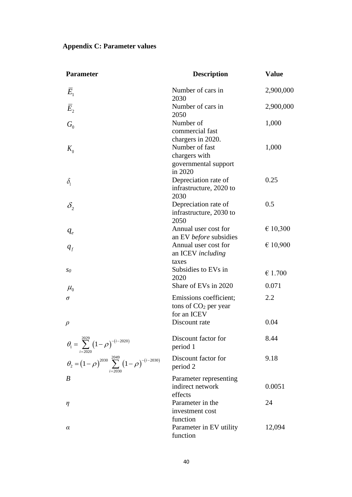## **Appendix C: Parameter values**

| <b>Parameter</b>                                                           | <b>Description</b>                                                 | <b>Value</b> |
|----------------------------------------------------------------------------|--------------------------------------------------------------------|--------------|
| $E_{1}$                                                                    | Number of cars in<br>2030                                          | 2,900,000    |
| $\bar{E}_{2}$                                                              | Number of cars in<br>2050                                          | 2,900,000    |
| $G_0$                                                                      | Number of<br>commercial fast<br>chargers in 2020.                  | 1,000        |
| $K_0$                                                                      | Number of fast<br>chargers with<br>governmental support<br>in 2020 | 1,000        |
| $\delta_{1}$                                                               | Depreciation rate of<br>infrastructure, 2020 to<br>2030            | 0.25         |
| $\delta_{2}$                                                               | Depreciation rate of<br>infrastructure, 2030 to<br>2050            | 0.5          |
| $q_e$                                                                      | Annual user cost for<br>an EV before subsidies                     | € 10,300     |
| $q_f$                                                                      | Annual user cost for<br>an ICEV including<br>taxes                 | € 10,900     |
| S0                                                                         | Subsidies to EVs in<br>2020                                        | € 1.700      |
| $\mu_{0}$                                                                  | Share of EVs in 2020                                               | 0.071        |
| σ                                                                          | Emissions coefficient;<br>tons of $CO2$ per year<br>for an ICEV    | 2.2          |
| $\rho$                                                                     | Discount rate                                                      | 0.04         |
| $\theta_1 = \sum_{n=1}^{2029} (1-\rho)^{-(i-2020)}$                        | Discount factor for<br>period 1                                    | 8.44         |
| $\theta_2 = (1 - \rho)^{2030} \sum_{i=2030}^{2049} (1 - \rho)^{-(i-2030)}$ | Discount factor for<br>period 2                                    | 9.18         |
| $\boldsymbol{B}$                                                           | Parameter representing<br>indirect network<br>effects              | 0.0051       |
| $\eta$                                                                     | Parameter in the<br>investment cost<br>function                    | 24           |
| $\alpha$                                                                   | Parameter in EV utility<br>function                                | 12,094       |

40